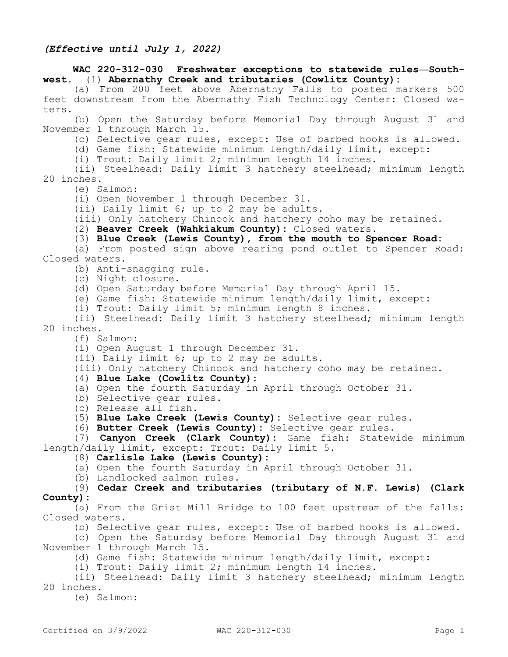## **WAC 220-312-030 Freshwater exceptions to statewide rules—Southwest.** (1) **Abernathy Creek and tributaries (Cowlitz County):**

(a) From 200 feet above Abernathy Falls to posted markers 500 feet downstream from the Abernathy Fish Technology Center: Closed waters.

(b) Open the Saturday before Memorial Day through August 31 and November 1 through March 15.

(c) Selective gear rules, except: Use of barbed hooks is allowed.

(d) Game fish: Statewide minimum length/daily limit, except:

(i) Trout: Daily limit 2; minimum length 14 inches.

(ii) Steelhead: Daily limit 3 hatchery steelhead; minimum length 20 inches.

(e) Salmon:

(i) Open November 1 through December 31.

(ii) Daily limit 6; up to 2 may be adults.

(iii) Only hatchery Chinook and hatchery coho may be retained.

(2) **Beaver Creek (Wahkiakum County):** Closed waters.

(3) **Blue Creek (Lewis County), from the mouth to Spencer Road:**

(a) From posted sign above rearing pond outlet to Spencer Road: Closed waters.

(b) Anti-snagging rule.

(c) Night closure.

(d) Open Saturday before Memorial Day through April 15.

(e) Game fish: Statewide minimum length/daily limit, except:

(i) Trout: Daily limit 5; minimum length 8 inches.

(ii) Steelhead: Daily limit 3 hatchery steelhead; minimum length 20 inches.

(f) Salmon:

(i) Open August 1 through December 31.

(ii) Daily limit 6; up to 2 may be adults.

(iii) Only hatchery Chinook and hatchery coho may be retained.

## (4) **Blue Lake (Cowlitz County):**

(a) Open the fourth Saturday in April through October 31.

(b) Selective gear rules.

(c) Release all fish.

(5) **Blue Lake Creek (Lewis County):** Selective gear rules.

(6) **Butter Creek (Lewis County):** Selective gear rules.

(7) **Canyon Creek (Clark County):** Game fish: Statewide minimum length/daily limit, except: Trout: Daily limit 5.

(8) **Carlisle Lake (Lewis County):**

(a) Open the fourth Saturday in April through October 31.

(b) Landlocked salmon rules.

(9) **Cedar Creek and tributaries (tributary of N.F. Lewis) (Clark County):**

(a) From the Grist Mill Bridge to 100 feet upstream of the falls: Closed waters.

(b) Selective gear rules, except: Use of barbed hooks is allowed.

(c) Open the Saturday before Memorial Day through August 31 and November 1 through March 15.

(d) Game fish: Statewide minimum length/daily limit, except:

(i) Trout: Daily limit 2; minimum length 14 inches.

(ii) Steelhead: Daily limit 3 hatchery steelhead; minimum length 20 inches.

(e) Salmon: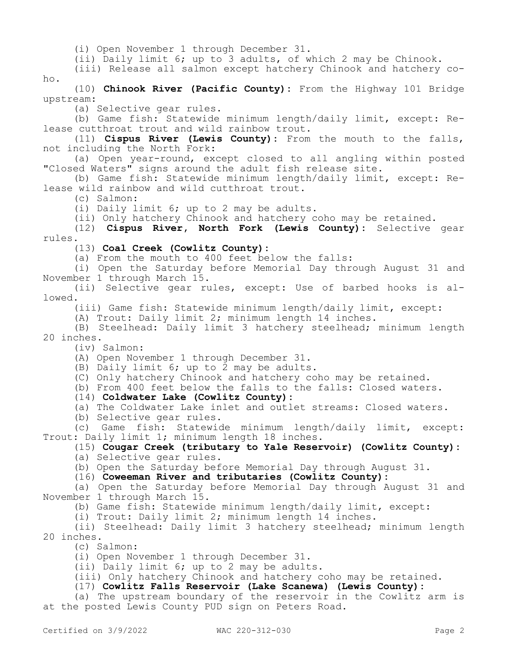(i) Open November 1 through December 31.

(ii) Daily limit 6; up to 3 adults, of which 2 may be Chinook.

(iii) Release all salmon except hatchery Chinook and hatchery coho.

(10) **Chinook River (Pacific County):** From the Highway 101 Bridge upstream:

(a) Selective gear rules.

(b) Game fish: Statewide minimum length/daily limit, except: Release cutthroat trout and wild rainbow trout.

(11) **Cispus River (Lewis County):** From the mouth to the falls, not including the North Fork:

(a) Open year-round, except closed to all angling within posted "Closed Waters" signs around the adult fish release site.

(b) Game fish: Statewide minimum length/daily limit, except: Release wild rainbow and wild cutthroat trout.

(c) Salmon:

(i) Daily limit 6; up to 2 may be adults.

(ii) Only hatchery Chinook and hatchery coho may be retained.

(12) **Cispus River, North Fork (Lewis County):** Selective gear rules.

(13) **Coal Creek (Cowlitz County):**

(a) From the mouth to 400 feet below the falls:

(i) Open the Saturday before Memorial Day through August 31 and November 1 through March 15.

(ii) Selective gear rules, except: Use of barbed hooks is allowed.

(iii) Game fish: Statewide minimum length/daily limit, except:

(A) Trout: Daily limit 2; minimum length 14 inches.

(B) Steelhead: Daily limit 3 hatchery steelhead; minimum length 20 inches.

(iv) Salmon:

(A) Open November 1 through December 31.

(B) Daily limit 6; up to 2 may be adults.

(C) Only hatchery Chinook and hatchery coho may be retained.

(b) From 400 feet below the falls to the falls: Closed waters.

(14) **Coldwater Lake (Cowlitz County):**

(a) The Coldwater Lake inlet and outlet streams: Closed waters.

(b) Selective gear rules.

(c) Game fish: Statewide minimum length/daily limit, except: Trout: Daily limit 1; minimum length 18 inches.

(15) **Cougar Creek (tributary to Yale Reservoir) (Cowlitz County):** (a) Selective gear rules.

(b) Open the Saturday before Memorial Day through August 31.

(16) **Coweeman River and tributaries (Cowlitz County):**

(a) Open the Saturday before Memorial Day through August 31 and November 1 through March 15.

(b) Game fish: Statewide minimum length/daily limit, except:

(i) Trout: Daily limit 2; minimum length 14 inches.

(ii) Steelhead: Daily limit 3 hatchery steelhead; minimum length 20 inches.

(c) Salmon:

(i) Open November 1 through December 31.

(ii) Daily limit 6; up to 2 may be adults.

(iii) Only hatchery Chinook and hatchery coho may be retained.

## (17) **Cowlitz Falls Reservoir (Lake Scanewa) (Lewis County):**

(a) The upstream boundary of the reservoir in the Cowlitz arm is at the posted Lewis County PUD sign on Peters Road.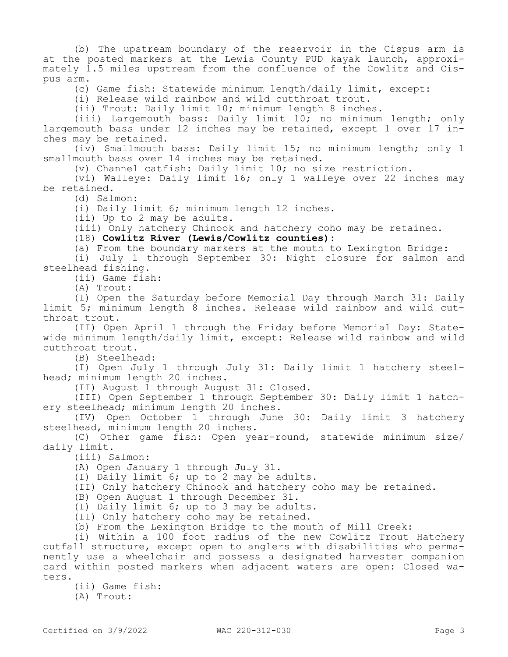(b) The upstream boundary of the reservoir in the Cispus arm is at the posted markers at the Lewis County PUD kayak launch, approximately 1.5 miles upstream from the confluence of the Cowlitz and Cispus arm.

(c) Game fish: Statewide minimum length/daily limit, except:

(i) Release wild rainbow and wild cutthroat trout.

(ii) Trout: Daily limit 10; minimum length 8 inches.

(iii) Largemouth bass: Daily limit 10; no minimum length; only largemouth bass under 12 inches may be retained, except 1 over 17 inches may be retained.

(iv) Smallmouth bass: Daily limit 15; no minimum length; only 1 smallmouth bass over 14 inches may be retained.

(v) Channel catfish: Daily limit 10; no size restriction.

(vi) Walleye: Daily limit 16; only 1 walleye over 22 inches may be retained.

(d) Salmon:

(i) Daily limit 6; minimum length 12 inches.

(ii) Up to 2 may be adults.

(iii) Only hatchery Chinook and hatchery coho may be retained.

(18) **Cowlitz River (Lewis/Cowlitz counties):**

(a) From the boundary markers at the mouth to Lexington Bridge:

(i) July 1 through September 30: Night closure for salmon and steelhead fishing.

(ii) Game fish:

(A) Trout:

(I) Open the Saturday before Memorial Day through March 31: Daily limit 5; minimum length 8 inches. Release wild rainbow and wild cutthroat trout.

(II) Open April 1 through the Friday before Memorial Day: Statewide minimum length/daily limit, except: Release wild rainbow and wild cutthroat trout.

(B) Steelhead:

(I) Open July 1 through July 31: Daily limit 1 hatchery steelhead; minimum length 20 inches.

(II) August 1 through August 31: Closed.

(III) Open September 1 through September 30: Daily limit 1 hatchery steelhead; minimum length 20 inches.

(IV) Open October 1 through June 30: Daily limit 3 hatchery steelhead, minimum length 20 inches.

(C) Other game fish: Open year-round, statewide minimum size/ daily limit.

(iii) Salmon:

(A) Open January 1 through July 31.

(I) Daily limit 6; up to 2 may be adults.

(II) Only hatchery Chinook and hatchery coho may be retained.

(B) Open August 1 through December 31.

(I) Daily limit 6; up to 3 may be adults.

(II) Only hatchery coho may be retained.

(b) From the Lexington Bridge to the mouth of Mill Creek:

(i) Within a 100 foot radius of the new Cowlitz Trout Hatchery outfall structure, except open to anglers with disabilities who permanently use a wheelchair and possess a designated harvester companion card within posted markers when adjacent waters are open: Closed waters.

(ii) Game fish:

(A) Trout: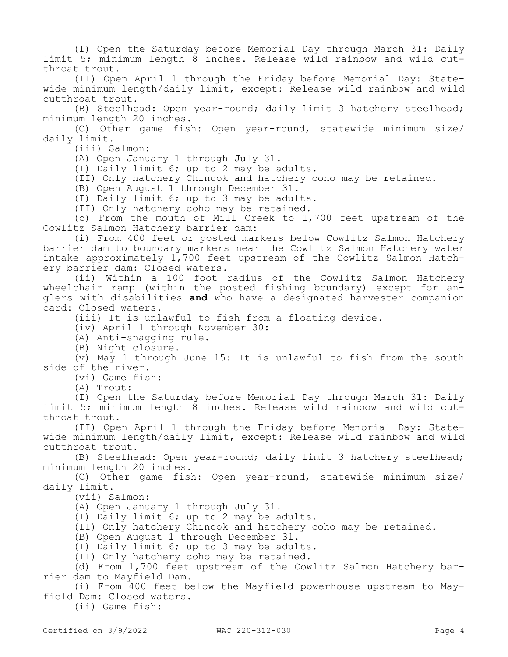(I) Open the Saturday before Memorial Day through March 31: Daily limit 5; minimum length 8 inches. Release wild rainbow and wild cutthroat trout.

(II) Open April 1 through the Friday before Memorial Day: Statewide minimum length/daily limit, except: Release wild rainbow and wild cutthroat trout.

(B) Steelhead: Open year-round; daily limit 3 hatchery steelhead; minimum length 20 inches.

(C) Other game fish: Open year-round, statewide minimum size/ daily limit.

(iii) Salmon:

(A) Open January 1 through July 31.

(I) Daily limit 6; up to 2 may be adults.

(II) Only hatchery Chinook and hatchery coho may be retained.

(B) Open August 1 through December 31.

(I) Daily limit 6; up to 3 may be adults.

(II) Only hatchery coho may be retained.

(c) From the mouth of Mill Creek to 1,700 feet upstream of the Cowlitz Salmon Hatchery barrier dam:

(i) From 400 feet or posted markers below Cowlitz Salmon Hatchery barrier dam to boundary markers near the Cowlitz Salmon Hatchery water intake approximately  $1,700$  feet upstream of the Cowlitz Salmon Hatchery barrier dam: Closed waters.

(ii) Within a 100 foot radius of the Cowlitz Salmon Hatchery wheelchair ramp (within the posted fishing boundary) except for anglers with disabilities **and** who have a designated harvester companion card: Closed waters.

(iii) It is unlawful to fish from a floating device.

(iv) April 1 through November 30:

(A) Anti-snagging rule.

(B) Night closure.

(v) May 1 through June 15: It is unlawful to fish from the south side of the river.

(vi) Game fish:

(A) Trout:

(I) Open the Saturday before Memorial Day through March 31: Daily limit 5; minimum length 8 inches. Release wild rainbow and wild cutthroat trout.

(II) Open April 1 through the Friday before Memorial Day: Statewide minimum length/daily limit, except: Release wild rainbow and wild cutthroat trout.

(B) Steelhead: Open year-round; daily limit 3 hatchery steelhead; minimum length 20 inches.

(C) Other game fish: Open year-round, statewide minimum size/ daily limit.

(vii) Salmon:

(A) Open January 1 through July 31.

(I) Daily limit 6; up to 2 may be adults.

(II) Only hatchery Chinook and hatchery coho may be retained.

(B) Open August 1 through December 31.

(I) Daily limit 6; up to 3 may be adults.

(II) Only hatchery coho may be retained.

(d) From 1,700 feet upstream of the Cowlitz Salmon Hatchery barrier dam to Mayfield Dam.

(i) From 400 feet below the Mayfield powerhouse upstream to Mayfield Dam: Closed waters.

(ii) Game fish: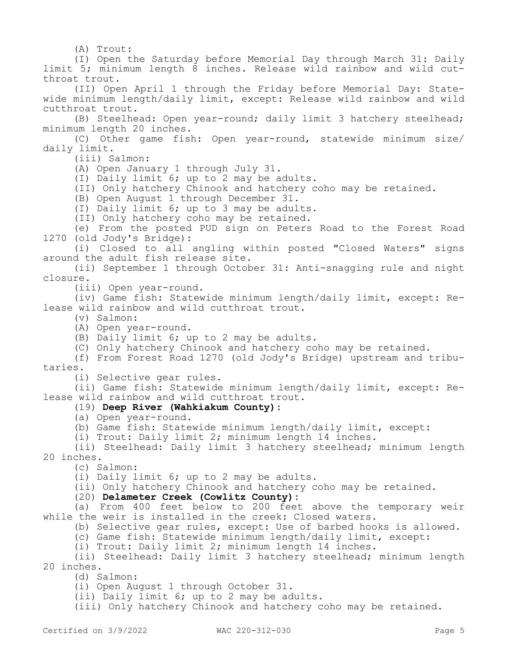(A) Trout:

(I) Open the Saturday before Memorial Day through March 31: Daily limit 5; minimum length 8 inches. Release wild rainbow and wild cutthroat trout.

(II) Open April 1 through the Friday before Memorial Day: Statewide minimum length/daily limit, except: Release wild rainbow and wild cutthroat trout.

(B) Steelhead: Open year-round; daily limit 3 hatchery steelhead; minimum length 20 inches.

(C) Other game fish: Open year-round, statewide minimum size/ daily limit.

(iii) Salmon:

(A) Open January 1 through July 31.

(I) Daily limit 6; up to 2 may be adults.

(II) Only hatchery Chinook and hatchery coho may be retained.

(B) Open August 1 through December 31.

(I) Daily limit 6; up to 3 may be adults.

(II) Only hatchery coho may be retained.

(e) From the posted PUD sign on Peters Road to the Forest Road 1270 (old Jody's Bridge):

(i) Closed to all angling within posted "Closed Waters" signs around the adult fish release site.

(ii) September 1 through October 31: Anti-snagging rule and night closure.

(iii) Open year-round.

(iv) Game fish: Statewide minimum length/daily limit, except: Release wild rainbow and wild cutthroat trout.

- (v) Salmon:
- (A) Open year-round.

(B) Daily limit 6; up to 2 may be adults.

(C) Only hatchery Chinook and hatchery coho may be retained.

(f) From Forest Road 1270 (old Jody's Bridge) upstream and tributaries.

(i) Selective gear rules.

(ii) Game fish: Statewide minimum length/daily limit, except: Release wild rainbow and wild cutthroat trout.

## (19) **Deep River (Wahkiakum County):**

(a) Open year-round.

(b) Game fish: Statewide minimum length/daily limit, except:

(i) Trout: Daily limit 2; minimum length 14 inches.

(ii) Steelhead: Daily limit 3 hatchery steelhead; minimum length 20 inches.

(c) Salmon:

(i) Daily limit 6; up to 2 may be adults.

(ii) Only hatchery Chinook and hatchery coho may be retained.

(20) **Delameter Creek (Cowlitz County):**

(a) From 400 feet below to 200 feet above the temporary weir while the weir is installed in the creek: Closed waters.

(b) Selective gear rules, except: Use of barbed hooks is allowed.

(c) Game fish: Statewide minimum length/daily limit, except:

(i) Trout: Daily limit 2; minimum length 14 inches.

(ii) Steelhead: Daily limit 3 hatchery steelhead; minimum length 20 inches.

(d) Salmon:

(i) Open August 1 through October 31.

(ii) Daily limit 6; up to 2 may be adults.

(iii) Only hatchery Chinook and hatchery coho may be retained.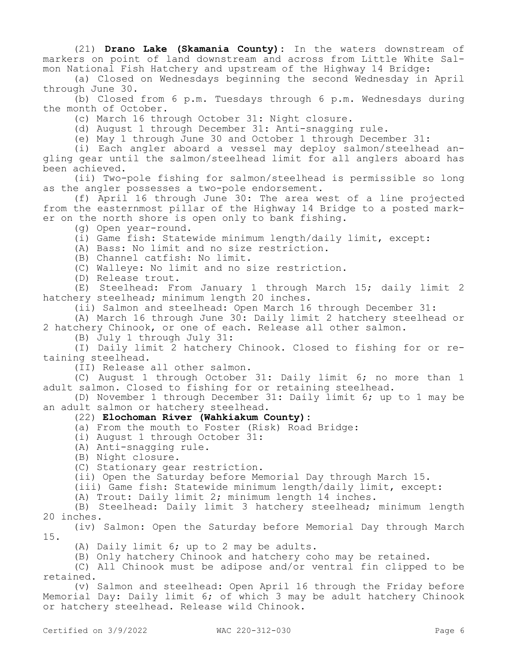(21) **Drano Lake (Skamania County):** In the waters downstream of markers on point of land downstream and across from Little White Salmon National Fish Hatchery and upstream of the Highway 14 Bridge:

(a) Closed on Wednesdays beginning the second Wednesday in April through June 30.

(b) Closed from 6 p.m. Tuesdays through 6 p.m. Wednesdays during the month of October.

(c) March 16 through October 31: Night closure.

(d) August 1 through December 31: Anti-snagging rule.

(e) May 1 through June 30 and October 1 through December 31:

(i) Each angler aboard a vessel may deploy salmon/steelhead angling gear until the salmon/steelhead limit for all anglers aboard has been achieved.

(ii) Two-pole fishing for salmon/steelhead is permissible so long as the angler possesses a two-pole endorsement.

(f) April 16 through June 30: The area west of a line projected from the easternmost pillar of the Highway 14 Bridge to a posted marker on the north shore is open only to bank fishing.

(g) Open year-round.

(i) Game fish: Statewide minimum length/daily limit, except:

(A) Bass: No limit and no size restriction.

(B) Channel catfish: No limit.

(C) Walleye: No limit and no size restriction.

(D) Release trout.

(E) Steelhead: From January 1 through March 15; daily limit 2 hatchery steelhead; minimum length 20 inches.

(ii) Salmon and steelhead: Open March 16 through December 31:

(A) March 16 through June 30: Daily limit 2 hatchery steelhead or 2 hatchery Chinook, or one of each. Release all other salmon.

(B) July 1 through July 31:

(I) Daily limit 2 hatchery Chinook. Closed to fishing for or retaining steelhead.

(II) Release all other salmon.

(C) August 1 through October 31: Daily limit 6; no more than 1 adult salmon. Closed to fishing for or retaining steelhead.

(D) November 1 through December 31: Daily limit 6; up to 1 may be an adult salmon or hatchery steelhead.

#### (22) **Elochoman River (Wahkiakum County):**

(a) From the mouth to Foster (Risk) Road Bridge:

(i) August 1 through October 31:

(A) Anti-snagging rule.

(B) Night closure.

(C) Stationary gear restriction.

(ii) Open the Saturday before Memorial Day through March 15.

(iii) Game fish: Statewide minimum length/daily limit, except:

(A) Trout: Daily limit 2; minimum length 14 inches.

(B) Steelhead: Daily limit 3 hatchery steelhead; minimum length 20 inches.

(iv) Salmon: Open the Saturday before Memorial Day through March 15.

(A) Daily limit 6; up to 2 may be adults.

(B) Only hatchery Chinook and hatchery coho may be retained.

(C) All Chinook must be adipose and/or ventral fin clipped to be retained.

(v) Salmon and steelhead: Open April 16 through the Friday before Memorial Day: Daily limit 6; of which 3 may be adult hatchery Chinook or hatchery steelhead. Release wild Chinook.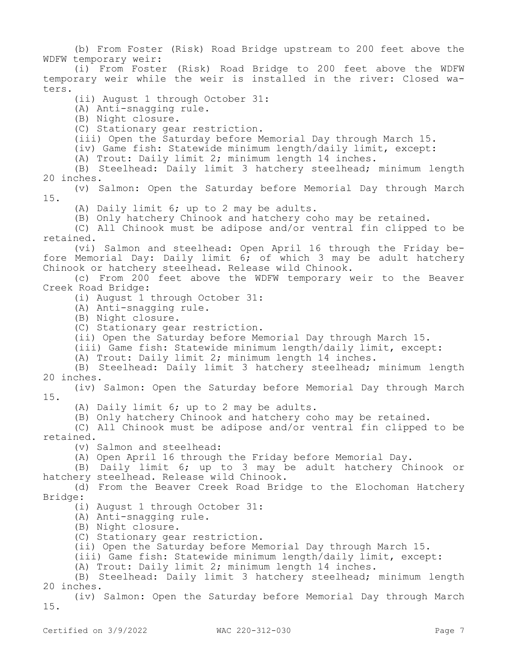(b) From Foster (Risk) Road Bridge upstream to 200 feet above the WDFW temporary weir:

(i) From Foster (Risk) Road Bridge to 200 feet above the WDFW temporary weir while the weir is installed in the river: Closed waters.

(ii) August 1 through October 31:

(A) Anti-snagging rule.

(B) Night closure.

(C) Stationary gear restriction.

(iii) Open the Saturday before Memorial Day through March 15.

(iv) Game fish: Statewide minimum length/daily limit, except:

(A) Trout: Daily limit 2; minimum length 14 inches.

(B) Steelhead: Daily limit 3 hatchery steelhead; minimum length 20 inches.

(v) Salmon: Open the Saturday before Memorial Day through March 15.

(A) Daily limit 6; up to 2 may be adults.

(B) Only hatchery Chinook and hatchery coho may be retained.

(C) All Chinook must be adipose and/or ventral fin clipped to be retained.

(vi) Salmon and steelhead: Open April 16 through the Friday before Memorial Day: Daily limit  $6$ ; of which 3 may be adult hatchery Chinook or hatchery steelhead. Release wild Chinook.

(c) From 200 feet above the WDFW temporary weir to the Beaver Creek Road Bridge:

(i) August 1 through October 31:

(A) Anti-snagging rule.

(B) Night closure.

(C) Stationary gear restriction.

(ii) Open the Saturday before Memorial Day through March 15.

(iii) Game fish: Statewide minimum length/daily limit, except:

(A) Trout: Daily limit 2; minimum length 14 inches.

(B) Steelhead: Daily limit 3 hatchery steelhead; minimum length 20 inches.

(iv) Salmon: Open the Saturday before Memorial Day through March 15.

(A) Daily limit 6; up to 2 may be adults.

(B) Only hatchery Chinook and hatchery coho may be retained.

(C) All Chinook must be adipose and/or ventral fin clipped to be retained.

(v) Salmon and steelhead:

(A) Open April 16 through the Friday before Memorial Day.

(B) Daily limit 6; up to 3 may be adult hatchery Chinook or hatchery steelhead. Release wild Chinook.

(d) From the Beaver Creek Road Bridge to the Elochoman Hatchery Bridge:

(i) August 1 through October 31:

(A) Anti-snagging rule.

(B) Night closure.

(C) Stationary gear restriction.

(ii) Open the Saturday before Memorial Day through March 15.

(iii) Game fish: Statewide minimum length/daily limit, except:

(A) Trout: Daily limit 2; minimum length 14 inches.

(B) Steelhead: Daily limit 3 hatchery steelhead; minimum length 20 inches.

(iv) Salmon: Open the Saturday before Memorial Day through March 15.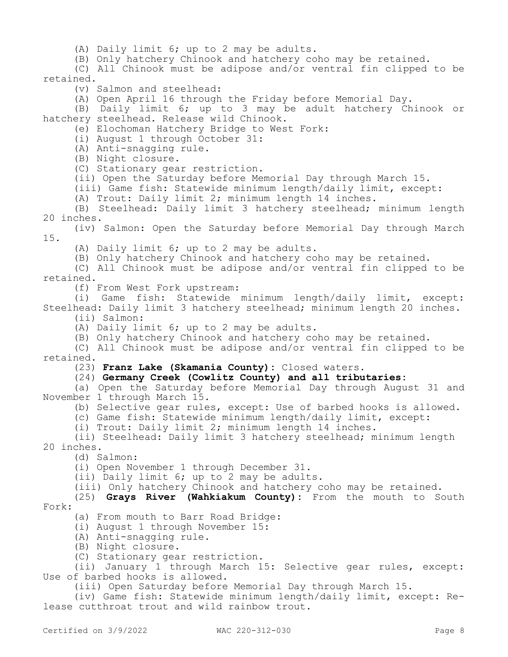(A) Daily limit 6; up to 2 may be adults.

(B) Only hatchery Chinook and hatchery coho may be retained.

(C) All Chinook must be adipose and/or ventral fin clipped to be retained.

(v) Salmon and steelhead:

(A) Open April 16 through the Friday before Memorial Day.

(B) Daily limit 6; up to 3 may be adult hatchery Chinook or hatchery steelhead. Release wild Chinook.

(e) Elochoman Hatchery Bridge to West Fork:

(i) August 1 through October 31:

(A) Anti-snagging rule.

(B) Night closure.

(C) Stationary gear restriction.

(ii) Open the Saturday before Memorial Day through March 15.

(iii) Game fish: Statewide minimum length/daily limit, except:

(A) Trout: Daily limit 2; minimum length 14 inches.

(B) Steelhead: Daily limit 3 hatchery steelhead; minimum length 20 inches.

(iv) Salmon: Open the Saturday before Memorial Day through March 15.

(A) Daily limit 6; up to 2 may be adults.

(B) Only hatchery Chinook and hatchery coho may be retained.

(C) All Chinook must be adipose and/or ventral fin clipped to be retained.

(f) From West Fork upstream:

(i) Game fish: Statewide minimum length/daily limit, except: Steelhead: Daily limit 3 hatchery steelhead; minimum length 20 inches.

(ii) Salmon:

(A) Daily limit 6; up to 2 may be adults.

(B) Only hatchery Chinook and hatchery coho may be retained.

(C) All Chinook must be adipose and/or ventral fin clipped to be retained.

(23) **Franz Lake (Skamania County):** Closed waters.

## (24) **Germany Creek (Cowlitz County) and all tributaries:**

(a) Open the Saturday before Memorial Day through August 31 and November 1 through March 15.

(b) Selective gear rules, except: Use of barbed hooks is allowed.

(c) Game fish: Statewide minimum length/daily limit, except:

(i) Trout: Daily limit 2; minimum length 14 inches.

(ii) Steelhead: Daily limit 3 hatchery steelhead; minimum length 20 inches.

(d) Salmon:

(i) Open November 1 through December 31.

(ii) Daily limit 6; up to 2 may be adults.

(iii) Only hatchery Chinook and hatchery coho may be retained.

(25) **Grays River (Wahkiakum County):** From the mouth to South Fork:

(a) From mouth to Barr Road Bridge:

(i) August 1 through November 15:

(A) Anti-snagging rule.

(B) Night closure.

(C) Stationary gear restriction.

(ii) January 1 through March 15: Selective gear rules, except: Use of barbed hooks is allowed.

(iii) Open Saturday before Memorial Day through March 15.

(iv) Game fish: Statewide minimum length/daily limit, except: Release cutthroat trout and wild rainbow trout.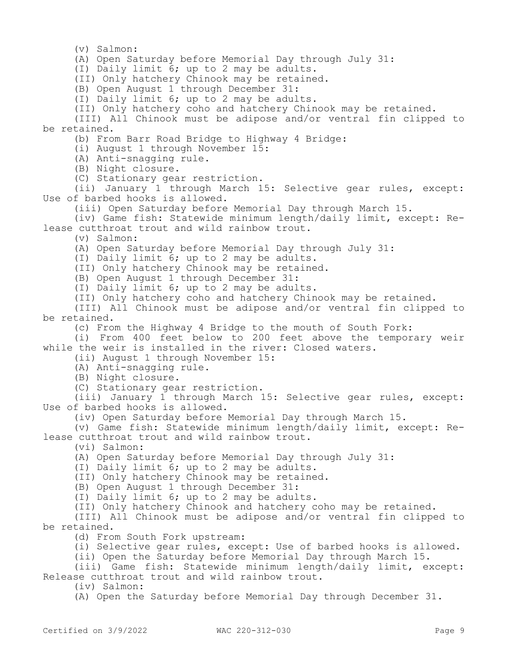(v) Salmon:

(A) Open Saturday before Memorial Day through July 31:

(I) Daily limit 6; up to 2 may be adults.

(II) Only hatchery Chinook may be retained.

(B) Open August 1 through December 31:

(I) Daily limit 6; up to 2 may be adults.

(II) Only hatchery coho and hatchery Chinook may be retained.

(III) All Chinook must be adipose and/or ventral fin clipped to be retained.

(b) From Barr Road Bridge to Highway 4 Bridge:

(i) August 1 through November 15:

(A) Anti-snagging rule.

(B) Night closure.

(C) Stationary gear restriction.

(ii) January 1 through March 15: Selective gear rules, except: Use of barbed hooks is allowed.

(iii) Open Saturday before Memorial Day through March 15.

(iv) Game fish: Statewide minimum length/daily limit, except: Release cutthroat trout and wild rainbow trout.

(v) Salmon:

(A) Open Saturday before Memorial Day through July 31:

(I) Daily limit 6; up to 2 may be adults.

(II) Only hatchery Chinook may be retained.

(B) Open August 1 through December 31:

(I) Daily limit 6; up to 2 may be adults.

(II) Only hatchery coho and hatchery Chinook may be retained.

(III) All Chinook must be adipose and/or ventral fin clipped to be retained.

(c) From the Highway 4 Bridge to the mouth of South Fork:

(i) From 400 feet below to 200 feet above the temporary weir while the weir is installed in the river: Closed waters.

(ii) August 1 through November 15:

(A) Anti-snagging rule.

(B) Night closure.

(C) Stationary gear restriction.

(iii) January 1 through March 15: Selective gear rules, except: Use of barbed hooks is allowed.

(iv) Open Saturday before Memorial Day through March 15.

(v) Game fish: Statewide minimum length/daily limit, except: Release cutthroat trout and wild rainbow trout.

(vi) Salmon:

(A) Open Saturday before Memorial Day through July 31:

(I) Daily limit 6; up to 2 may be adults.

(II) Only hatchery Chinook may be retained.

(B) Open August 1 through December 31:

(I) Daily limit 6; up to 2 may be adults.

(II) Only hatchery Chinook and hatchery coho may be retained.

(III) All Chinook must be adipose and/or ventral fin clipped to be retained.

(d) From South Fork upstream:

(i) Selective gear rules, except: Use of barbed hooks is allowed.

(ii) Open the Saturday before Memorial Day through March 15.

(iii) Game fish: Statewide minimum length/daily limit, except: Release cutthroat trout and wild rainbow trout.

(iv) Salmon:

(A) Open the Saturday before Memorial Day through December 31.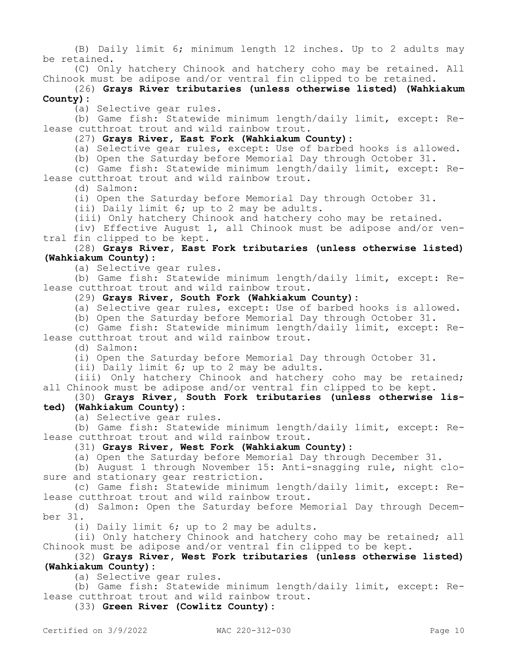(B) Daily limit 6; minimum length 12 inches. Up to 2 adults may be retained.

(C) Only hatchery Chinook and hatchery coho may be retained. All Chinook must be adipose and/or ventral fin clipped to be retained.

## (26) **Grays River tributaries (unless otherwise listed) (Wahkiakum County):**

(a) Selective gear rules.

(b) Game fish: Statewide minimum length/daily limit, except: Release cutthroat trout and wild rainbow trout.

(27) **Grays River, East Fork (Wahkiakum County):**

(a) Selective gear rules, except: Use of barbed hooks is allowed.

(b) Open the Saturday before Memorial Day through October 31.

(c) Game fish: Statewide minimum length/daily limit, except: Release cutthroat trout and wild rainbow trout.

(d) Salmon:

(i) Open the Saturday before Memorial Day through October 31.

(ii) Daily limit 6; up to 2 may be adults.

(iii) Only hatchery Chinook and hatchery coho may be retained.

(iv) Effective August 1, all Chinook must be adipose and/or ventral fin clipped to be kept.

## (28) **Grays River, East Fork tributaries (unless otherwise listed) (Wahkiakum County):**

(a) Selective gear rules.

(b) Game fish: Statewide minimum length/daily limit, except: Release cutthroat trout and wild rainbow trout.

### (29) **Grays River, South Fork (Wahkiakum County):**

(a) Selective gear rules, except: Use of barbed hooks is allowed.

(b) Open the Saturday before Memorial Day through October 31.

(c) Game fish: Statewide minimum length/daily limit, except: Release cutthroat trout and wild rainbow trout.

(d) Salmon:

(i) Open the Saturday before Memorial Day through October 31.

(ii) Daily limit 6; up to 2 may be adults.

(iii) Only hatchery Chinook and hatchery coho may be retained; all Chinook must be adipose and/or ventral fin clipped to be kept.

# (30) **Grays River, South Fork tributaries (unless otherwise listed) (Wahkiakum County):**

(a) Selective gear rules.

(b) Game fish: Statewide minimum length/daily limit, except: Release cutthroat trout and wild rainbow trout.

# (31) **Grays River, West Fork (Wahkiakum County):**

(a) Open the Saturday before Memorial Day through December 31.

(b) August 1 through November 15: Anti-snagging rule, night closure and stationary gear restriction.

(c) Game fish: Statewide minimum length/daily limit, except: Release cutthroat trout and wild rainbow trout.

(d) Salmon: Open the Saturday before Memorial Day through December 31.

(i) Daily limit 6; up to 2 may be adults.

(ii) Only hatchery Chinook and hatchery coho may be retained; all Chinook must be adipose and/or ventral fin clipped to be kept.

# (32) **Grays River, West Fork tributaries (unless otherwise listed) (Wahkiakum County):**

(a) Selective gear rules.

(b) Game fish: Statewide minimum length/daily limit, except: Release cutthroat trout and wild rainbow trout.

(33) **Green River (Cowlitz County):**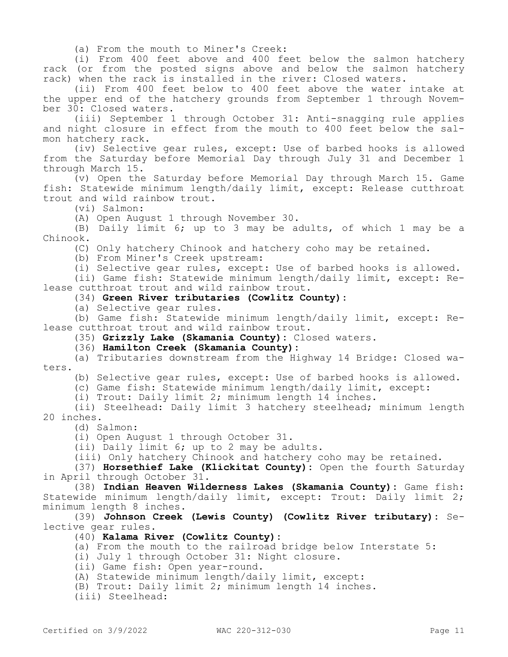(a) From the mouth to Miner's Creek:

(i) From 400 feet above and 400 feet below the salmon hatchery rack (or from the posted signs above and below the salmon hatchery rack) when the rack is installed in the river: Closed waters.

(ii) From 400 feet below to 400 feet above the water intake at the upper end of the hatchery grounds from September 1 through November 30: Closed waters.

(iii) September 1 through October 31: Anti-snagging rule applies and night closure in effect from the mouth to 400 feet below the salmon hatchery rack.

(iv) Selective gear rules, except: Use of barbed hooks is allowed from the Saturday before Memorial Day through July 31 and December 1 through March 15.

(v) Open the Saturday before Memorial Day through March 15. Game fish: Statewide minimum length/daily limit, except: Release cutthroat trout and wild rainbow trout.

(vi) Salmon:

(A) Open August 1 through November 30.

(B) Daily limit 6; up to 3 may be adults, of which 1 may be a Chinook.

(C) Only hatchery Chinook and hatchery coho may be retained.

(b) From Miner's Creek upstream:

(i) Selective gear rules, except: Use of barbed hooks is allowed.

(ii) Game fish: Statewide minimum length/daily limit, except: Release cutthroat trout and wild rainbow trout.

## (34) **Green River tributaries (Cowlitz County):**

(a) Selective gear rules.

(b) Game fish: Statewide minimum length/daily limit, except: Release cutthroat trout and wild rainbow trout.

(35) **Grizzly Lake (Skamania County):** Closed waters.

(36) **Hamilton Creek (Skamania County):**

(a) Tributaries downstream from the Highway 14 Bridge: Closed waters.

(b) Selective gear rules, except: Use of barbed hooks is allowed.

(c) Game fish: Statewide minimum length/daily limit, except:

(i) Trout: Daily limit 2; minimum length 14 inches.

(ii) Steelhead: Daily limit 3 hatchery steelhead; minimum length 20 inches.

(d) Salmon:

(i) Open August 1 through October 31.

(ii) Daily limit 6; up to 2 may be adults.

(iii) Only hatchery Chinook and hatchery coho may be retained.

(37) **Horsethief Lake (Klickitat County):** Open the fourth Saturday in April through October 31.

(38) **Indian Heaven Wilderness Lakes (Skamania County):** Game fish: Statewide minimum length/daily limit, except: Trout: Daily limit 2; minimum length 8 inches.

(39) **Johnson Creek (Lewis County) (Cowlitz River tributary):** Selective gear rules.

(40) **Kalama River (Cowlitz County):**

(a) From the mouth to the railroad bridge below Interstate 5:

- (i) July 1 through October 31: Night closure.
- (ii) Game fish: Open year-round.

(A) Statewide minimum length/daily limit, except:

(B) Trout: Daily limit 2; minimum length 14 inches.

(iii) Steelhead: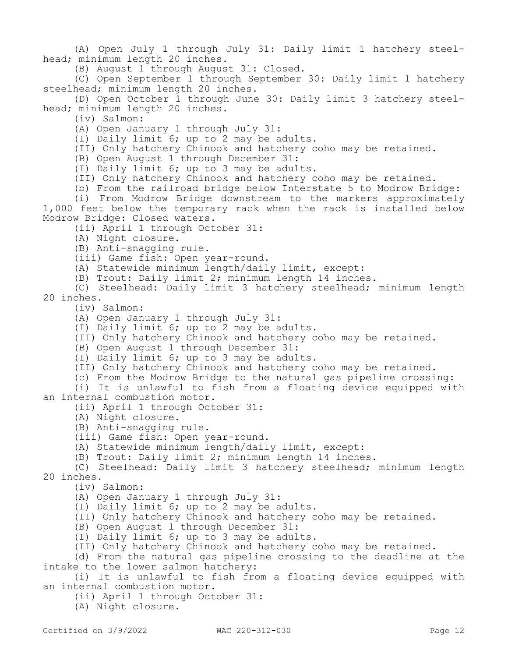(A) Open July 1 through July 31: Daily limit 1 hatchery steelhead; minimum length 20 inches.

(B) August 1 through August 31: Closed.

(C) Open September 1 through September 30: Daily limit 1 hatchery steelhead; minimum length 20 inches.

(D) Open October 1 through June 30: Daily limit 3 hatchery steelhead; minimum length 20 inches.

(iv) Salmon:

(A) Open January 1 through July 31:

(I) Daily limit 6; up to 2 may be adults.

(II) Only hatchery Chinook and hatchery coho may be retained.

(B) Open August 1 through December 31:

(I) Daily limit 6; up to 3 may be adults.

(II) Only hatchery Chinook and hatchery coho may be retained.

(b) From the railroad bridge below Interstate 5 to Modrow Bridge:

(i) From Modrow Bridge downstream to the markers approximately 1,000 feet below the temporary rack when the rack is installed below Modrow Bridge: Closed waters.

(ii) April 1 through October 31:

(A) Night closure.

(B) Anti-snagging rule.

(iii) Game fish: Open year-round.

(A) Statewide minimum length/daily limit, except:

(B) Trout: Daily limit 2; minimum length 14 inches.

(C) Steelhead: Daily limit 3 hatchery steelhead; minimum length 20 inches.

(iv) Salmon:

(A) Open January 1 through July 31:

(I) Daily limit 6; up to 2 may be adults.

(II) Only hatchery Chinook and hatchery coho may be retained.

(B) Open August 1 through December 31:

(I) Daily limit 6; up to 3 may be adults.

(II) Only hatchery Chinook and hatchery coho may be retained.

(c) From the Modrow Bridge to the natural gas pipeline crossing:

(i) It is unlawful to fish from a floating device equipped with an internal combustion motor.

(ii) April 1 through October 31:

(A) Night closure.

(B) Anti-snagging rule.

(iii) Game fish: Open year-round.

(A) Statewide minimum length/daily limit, except:

(B) Trout: Daily limit 2; minimum length 14 inches.

(C) Steelhead: Daily limit 3 hatchery steelhead; minimum length 20 inches.

(iv) Salmon:

(A) Open January 1 through July 31:

(I) Daily limit 6; up to 2 may be adults.

(II) Only hatchery Chinook and hatchery coho may be retained.

(B) Open August 1 through December 31:

(I) Daily limit 6; up to 3 may be adults.

(II) Only hatchery Chinook and hatchery coho may be retained.

(d) From the natural gas pipeline crossing to the deadline at the intake to the lower salmon hatchery:

(i) It is unlawful to fish from a floating device equipped with an internal combustion motor.

(ii) April 1 through October 31:

(A) Night closure.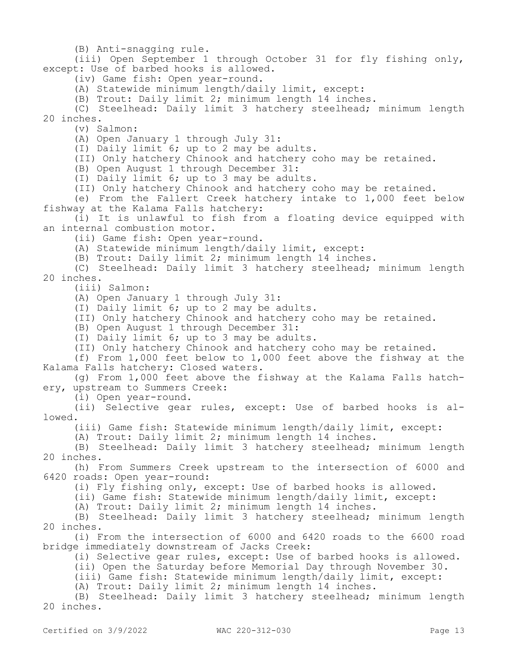(B) Anti-snagging rule.

(iii) Open September 1 through October 31 for fly fishing only, except: Use of barbed hooks is allowed.

(iv) Game fish: Open year-round.

(A) Statewide minimum length/daily limit, except:

(B) Trout: Daily limit 2; minimum length 14 inches.

(C) Steelhead: Daily limit 3 hatchery steelhead; minimum length 20 inches.

(v) Salmon:

(A) Open January 1 through July 31:

(I) Daily limit 6; up to 2 may be adults.

(II) Only hatchery Chinook and hatchery coho may be retained.

(B) Open August 1 through December 31:

(I) Daily limit 6; up to 3 may be adults.

(II) Only hatchery Chinook and hatchery coho may be retained.

(e) From the Fallert Creek hatchery intake to 1,000 feet below fishway at the Kalama Falls hatchery:

(i) It is unlawful to fish from a floating device equipped with an internal combustion motor.

(ii) Game fish: Open year-round.

(A) Statewide minimum length/daily limit, except:

(B) Trout: Daily limit 2; minimum length 14 inches.

(C) Steelhead: Daily limit 3 hatchery steelhead; minimum length 20 inches.

(iii) Salmon:

(A) Open January 1 through July 31:

(I) Daily limit 6; up to 2 may be adults.

(II) Only hatchery Chinook and hatchery coho may be retained.

(B) Open August 1 through December 31:

(I) Daily limit 6; up to 3 may be adults.

(II) Only hatchery Chinook and hatchery coho may be retained.

(f) From 1,000 feet below to 1,000 feet above the fishway at the Kalama Falls hatchery: Closed waters.

(g) From 1,000 feet above the fishway at the Kalama Falls hatchery, upstream to Summers Creek:

(i) Open year-round.

(ii) Selective gear rules, except: Use of barbed hooks is allowed.

(iii) Game fish: Statewide minimum length/daily limit, except:

(A) Trout: Daily limit 2; minimum length 14 inches.

(B) Steelhead: Daily limit 3 hatchery steelhead; minimum length 20 inches.

(h) From Summers Creek upstream to the intersection of 6000 and 6420 roads: Open year-round:

(i) Fly fishing only, except: Use of barbed hooks is allowed.

(ii) Game fish: Statewide minimum length/daily limit, except:

(A) Trout: Daily limit 2; minimum length 14 inches.

(B) Steelhead: Daily limit 3 hatchery steelhead; minimum length 20 inches.

(i) From the intersection of 6000 and 6420 roads to the 6600 road bridge immediately downstream of Jacks Creek:

(i) Selective gear rules, except: Use of barbed hooks is allowed.

(ii) Open the Saturday before Memorial Day through November 30.

(iii) Game fish: Statewide minimum length/daily limit, except:

(A) Trout: Daily limit 2; minimum length 14 inches.

(B) Steelhead: Daily limit 3 hatchery steelhead; minimum length 20 inches.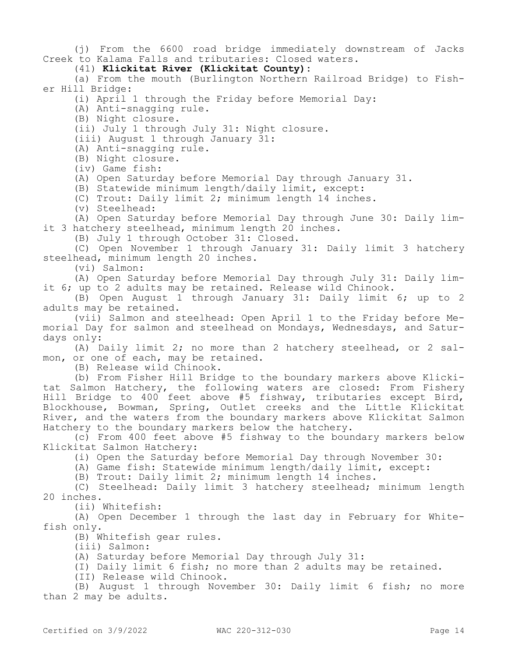(j) From the 6600 road bridge immediately downstream of Jacks Creek to Kalama Falls and tributaries: Closed waters.

(41) **Klickitat River (Klickitat County):**

(a) From the mouth (Burlington Northern Railroad Bridge) to Fisher Hill Bridge:

(i) April 1 through the Friday before Memorial Day:

(A) Anti-snagging rule.

(B) Night closure.

(ii) July 1 through July 31: Night closure.

(iii) August 1 through January 31:

(A) Anti-snagging rule.

(B) Night closure.

(iv) Game fish:

(A) Open Saturday before Memorial Day through January 31.

(B) Statewide minimum length/daily limit, except:

(C) Trout: Daily limit 2; minimum length 14 inches.

(v) Steelhead:

(A) Open Saturday before Memorial Day through June 30: Daily limit 3 hatchery steelhead, minimum length 20 inches.

(B) July 1 through October 31: Closed.

(C) Open November 1 through January 31: Daily limit 3 hatchery steelhead, minimum length 20 inches.

(vi) Salmon:

(A) Open Saturday before Memorial Day through July 31: Daily limit 6; up to 2 adults may be retained. Release wild Chinook.

(B) Open August 1 through January 31: Daily limit 6; up to 2 adults may be retained.

(vii) Salmon and steelhead: Open April 1 to the Friday before Memorial Day for salmon and steelhead on Mondays, Wednesdays, and Saturdays only:

(A) Daily limit 2; no more than 2 hatchery steelhead, or 2 salmon, or one of each, may be retained.

(B) Release wild Chinook.

(b) From Fisher Hill Bridge to the boundary markers above Klickitat Salmon Hatchery, the following waters are closed: From Fishery Hill Bridge to  $400$  feet above #5 fishway, tributaries except Bird, Blockhouse, Bowman, Spring, Outlet creeks and the Little Klickitat River, and the waters from the boundary markers above Klickitat Salmon Hatchery to the boundary markers below the hatchery.

(c) From 400 feet above #5 fishway to the boundary markers below Klickitat Salmon Hatchery:

(i) Open the Saturday before Memorial Day through November 30:

(A) Game fish: Statewide minimum length/daily limit, except:

(B) Trout: Daily limit 2; minimum length 14 inches.

(C) Steelhead: Daily limit 3 hatchery steelhead; minimum length 20 inches.

(ii) Whitefish:

(A) Open December 1 through the last day in February for Whitefish only.

(B) Whitefish gear rules.

(iii) Salmon:

(A) Saturday before Memorial Day through July 31:

(I) Daily limit 6 fish; no more than 2 adults may be retained.

(II) Release wild Chinook.

(B) August 1 through November 30: Daily limit 6 fish; no more than 2 may be adults.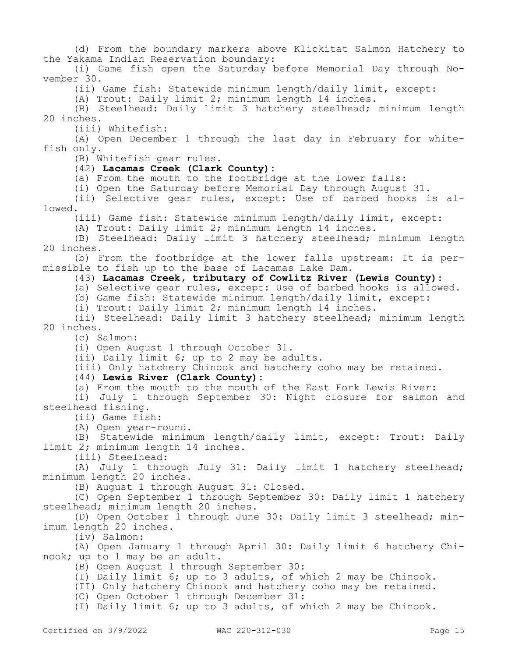(d) From the boundary markers above Klickitat Salmon Hatchery to the Yakama Indian Reservation boundary:

(i) Game fish open the Saturday before Memorial Day through November 30.

(ii) Game fish: Statewide minimum length/daily limit, except:

(A) Trout: Daily limit 2; minimum length 14 inches.

(B) Steelhead: Daily limit 3 hatchery steelhead; minimum length 20 inches.

(iii) Whitefish:

(A) Open December 1 through the last day in February for whitefish only.

(B) Whitefish gear rules.

#### (42) **Lacamas Creek (Clark County):**

(a) From the mouth to the footbridge at the lower falls:

(i) Open the Saturday before Memorial Day through August 31.

(ii) Selective gear rules, except: Use of barbed hooks is allowed.

(iii) Game fish: Statewide minimum length/daily limit, except:

(A) Trout: Daily limit 2; minimum length 14 inches.

(B) Steelhead: Daily limit 3 hatchery steelhead; minimum length 20 inches.

(b) From the footbridge at the lower falls upstream: It is permissible to fish up to the base of Lacamas Lake Dam.

## (43) **Lacamas Creek, tributary of Cowlitz River (Lewis County):**

(a) Selective gear rules, except: Use of barbed hooks is allowed.

(b) Game fish: Statewide minimum length/daily limit, except:

(i) Trout: Daily limit 2; minimum length 14 inches.

(ii) Steelhead: Daily limit 3 hatchery steelhead; minimum length 20 inches.

(c) Salmon:

(i) Open August 1 through October 31.

(ii) Daily limit 6; up to 2 may be adults.

(iii) Only hatchery Chinook and hatchery coho may be retained.

# (44) **Lewis River (Clark County):**

(a) From the mouth to the mouth of the East Fork Lewis River:

(i) July 1 through September 30: Night closure for salmon and steelhead fishing.

(ii) Game fish:

(A) Open year-round.

(B) Statewide minimum length/daily limit, except: Trout: Daily limit 2; minimum length 14 inches.

(iii) Steelhead:

(A) July 1 through July 31: Daily limit 1 hatchery steelhead; minimum length 20 inches.

(B) August 1 through August 31: Closed.

(C) Open September 1 through September 30: Daily limit 1 hatchery steelhead; minimum length 20 inches.

(D) Open October 1 through June 30: Daily limit 3 steelhead; minimum length 20 inches.

(iv) Salmon:

(A) Open January 1 through April 30: Daily limit 6 hatchery Chinook; up to 1 may be an adult.

(B) Open August 1 through September 30:

(I) Daily limit 6; up to 3 adults, of which 2 may be Chinook.

(II) Only hatchery Chinook and hatchery coho may be retained.

(C) Open October 1 through December 31:

(I) Daily limit 6; up to 3 adults, of which 2 may be Chinook.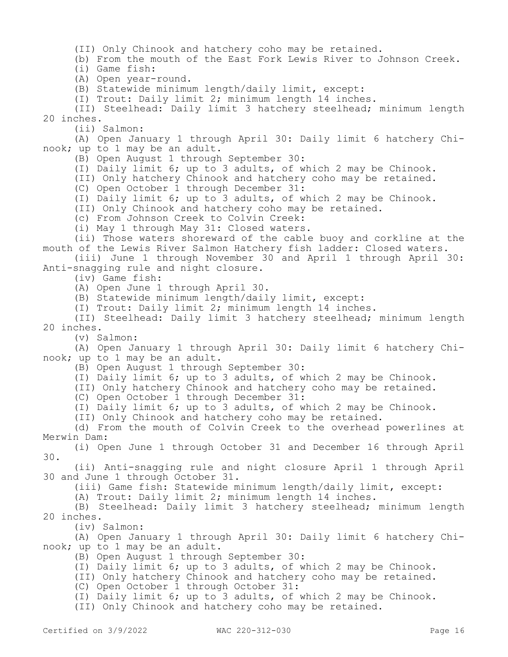(II) Only Chinook and hatchery coho may be retained.

(b) From the mouth of the East Fork Lewis River to Johnson Creek.

(i) Game fish:

(A) Open year-round.

(B) Statewide minimum length/daily limit, except:

(I) Trout: Daily limit 2; minimum length 14 inches.

(II) Steelhead: Daily limit 3 hatchery steelhead; minimum length 20 inches.

(ii) Salmon:

(A) Open January 1 through April 30: Daily limit 6 hatchery Chinook; up to 1 may be an adult.

(B) Open August 1 through September 30:

(I) Daily limit 6; up to 3 adults, of which 2 may be Chinook.

(II) Only hatchery Chinook and hatchery coho may be retained.

(C) Open October 1 through December 31:

(I) Daily limit 6; up to 3 adults, of which 2 may be Chinook.

(II) Only Chinook and hatchery coho may be retained.

(c) From Johnson Creek to Colvin Creek:

(i) May 1 through May 31: Closed waters.

(ii) Those waters shoreward of the cable buoy and corkline at the mouth of the Lewis River Salmon Hatchery fish ladder: Closed waters.

(iii) June 1 through November 30 and April 1 through April 30: Anti-snagging rule and night closure.

(iv) Game fish:

(A) Open June 1 through April 30.

(B) Statewide minimum length/daily limit, except:

(I) Trout: Daily limit 2; minimum length 14 inches.

(II) Steelhead: Daily limit 3 hatchery steelhead; minimum length 20 inches.

(v) Salmon:

(A) Open January 1 through April 30: Daily limit 6 hatchery Chinook; up to 1 may be an adult.

(B) Open August 1 through September 30:

(I) Daily limit 6; up to 3 adults, of which 2 may be Chinook.

(II) Only hatchery Chinook and hatchery coho may be retained.

(C) Open October 1 through December 31:

(I) Daily limit 6; up to 3 adults, of which 2 may be Chinook.

(II) Only Chinook and hatchery coho may be retained.

(d) From the mouth of Colvin Creek to the overhead powerlines at Merwin Dam:

(i) Open June 1 through October 31 and December 16 through April 30.

(ii) Anti-snagging rule and night closure April 1 through April 30 and June 1 through October 31.

(iii) Game fish: Statewide minimum length/daily limit, except:

(A) Trout: Daily limit 2; minimum length 14 inches.

(B) Steelhead: Daily limit 3 hatchery steelhead; minimum length 20 inches.

(iv) Salmon:

(A) Open January 1 through April 30: Daily limit 6 hatchery Chinook; up to 1 may be an adult.

(B) Open August 1 through September 30:

(I) Daily limit 6; up to 3 adults, of which 2 may be Chinook.

(II) Only hatchery Chinook and hatchery coho may be retained.

(C) Open October 1 through October 31:

(I) Daily limit 6; up to 3 adults, of which 2 may be Chinook.

(II) Only Chinook and hatchery coho may be retained.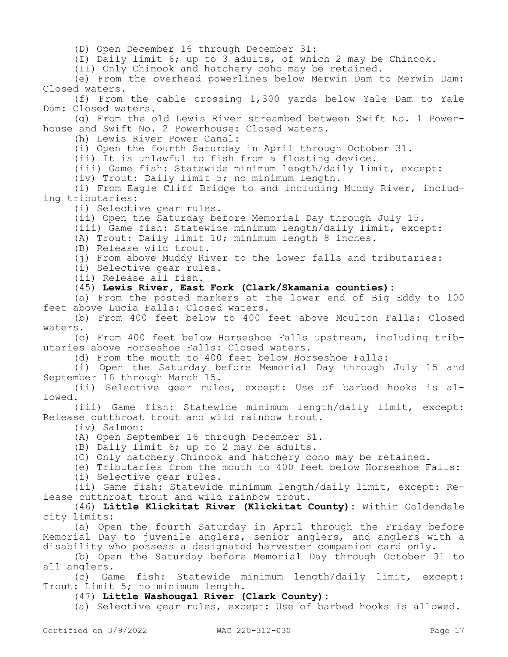(D) Open December 16 through December 31:

(I) Daily limit 6; up to 3 adults, of which 2 may be Chinook.

(II) Only Chinook and hatchery coho may be retained.

(e) From the overhead powerlines below Merwin Dam to Merwin Dam: Closed waters.

(f) From the cable crossing 1,300 yards below Yale Dam to Yale Dam: Closed waters.

(g) From the old Lewis River streambed between Swift No. 1 Powerhouse and Swift No. 2 Powerhouse: Closed waters.

(h) Lewis River Power Canal:

(i) Open the fourth Saturday in April through October 31.

(ii) It is unlawful to fish from a floating device.

(iii) Game fish: Statewide minimum length/daily limit, except:

(iv) Trout: Daily limit 5; no minimum length.

(i) From Eagle Cliff Bridge to and including Muddy River, including tributaries:

(i) Selective gear rules.

(ii) Open the Saturday before Memorial Day through July 15.

(iii) Game fish: Statewide minimum length/daily limit, except:

(A) Trout: Daily limit 10; minimum length 8 inches.

(B) Release wild trout.

(j) From above Muddy River to the lower falls and tributaries:

(i) Selective gear rules.

(ii) Release all fish.

(45) **Lewis River, East Fork (Clark/Skamania counties):**

(a) From the posted markers at the lower end of Big Eddy to 100 feet above Lucia Falls: Closed waters.

(b) From 400 feet below to 400 feet above Moulton Falls: Closed waters.

(c) From 400 feet below Horseshoe Falls upstream, including tributaries above Horseshoe Falls: Closed waters.

(d) From the mouth to 400 feet below Horseshoe Falls:

(i) Open the Saturday before Memorial Day through July 15 and September 16 through March 15.

(ii) Selective gear rules, except: Use of barbed hooks is allowed.

(iii) Game fish: Statewide minimum length/daily limit, except: Release cutthroat trout and wild rainbow trout.

(iv) Salmon:

- (A) Open September 16 through December 31.
- (B) Daily limit 6; up to 2 may be adults.

(C) Only hatchery Chinook and hatchery coho may be retained.

(e) Tributaries from the mouth to 400 feet below Horseshoe Falls:

(i) Selective gear rules.

(ii) Game fish: Statewide minimum length/daily limit, except: Release cutthroat trout and wild rainbow trout.

(46) **Little Klickitat River (Klickitat County):** Within Goldendale city limits:

(a) Open the fourth Saturday in April through the Friday before Memorial Day to juvenile anglers, senior anglers, and anglers with a disability who possess a designated harvester companion card only.

(b) Open the Saturday before Memorial Day through October 31 to all anglers.

(c) Game fish: Statewide minimum length/daily limit, except: Trout: Limit 5; no minimum length.

(47) **Little Washougal River (Clark County):**

(a) Selective gear rules, except: Use of barbed hooks is allowed.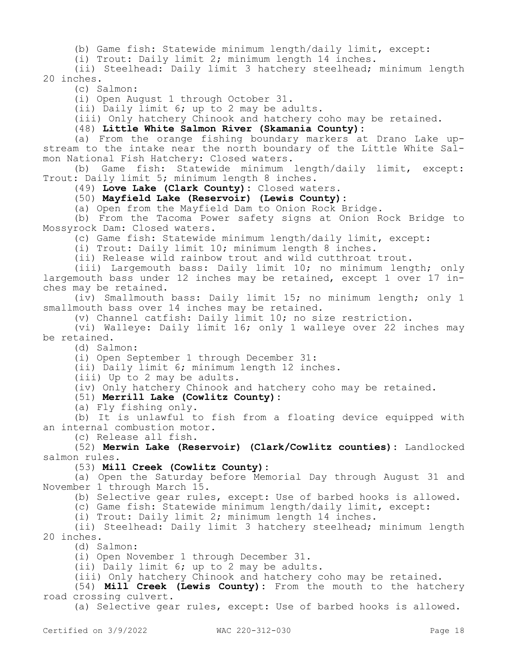(b) Game fish: Statewide minimum length/daily limit, except:

(i) Trout: Daily limit 2; minimum length 14 inches.

(ii) Steelhead: Daily limit 3 hatchery steelhead; minimum length 20 inches.

(c) Salmon:

(i) Open August 1 through October 31.

(ii) Daily limit 6; up to 2 may be adults.

(iii) Only hatchery Chinook and hatchery coho may be retained.

(48) **Little White Salmon River (Skamania County):**

(a) From the orange fishing boundary markers at Drano Lake upstream to the intake near the north boundary of the Little White Salmon National Fish Hatchery: Closed waters.

(b) Game fish: Statewide minimum length/daily limit, except: Trout: Daily limit 5; minimum length 8 inches.

(49) **Love Lake (Clark County):** Closed waters.

(50) **Mayfield Lake (Reservoir) (Lewis County):**

(a) Open from the Mayfield Dam to Onion Rock Bridge.

(b) From the Tacoma Power safety signs at Onion Rock Bridge to Mossyrock Dam: Closed waters.

(c) Game fish: Statewide minimum length/daily limit, except:

(i) Trout: Daily limit 10; minimum length 8 inches.

(ii) Release wild rainbow trout and wild cutthroat trout.

(iii) Largemouth bass: Daily limit 10; no minimum length; only largemouth bass under 12 inches may be retained, except 1 over 17 inches may be retained.

(iv) Smallmouth bass: Daily limit 15; no minimum length; only 1 smallmouth bass over 14 inches may be retained.

(v) Channel catfish: Daily limit 10; no size restriction.

(vi) Walleye: Daily limit 16; only 1 walleye over 22 inches may be retained.

(d) Salmon:

(i) Open September 1 through December 31:

(ii) Daily limit 6; minimum length 12 inches.

(iii) Up to 2 may be adults.

(iv) Only hatchery Chinook and hatchery coho may be retained.

(51) **Merrill Lake (Cowlitz County):**

(a) Fly fishing only.

(b) It is unlawful to fish from a floating device equipped with an internal combustion motor.

(c) Release all fish.

(52) **Merwin Lake (Reservoir) (Clark/Cowlitz counties):** Landlocked salmon rules.

(53) **Mill Creek (Cowlitz County):**

(a) Open the Saturday before Memorial Day through August 31 and November 1 through March 15.

(b) Selective gear rules, except: Use of barbed hooks is allowed.

(c) Game fish: Statewide minimum length/daily limit, except:

(i) Trout: Daily limit 2; minimum length 14 inches.

(ii) Steelhead: Daily limit 3 hatchery steelhead; minimum length 20 inches.

(d) Salmon:

(i) Open November 1 through December 31.

(ii) Daily limit 6; up to 2 may be adults.

(iii) Only hatchery Chinook and hatchery coho may be retained.

(54) **Mill Creek (Lewis County):** From the mouth to the hatchery road crossing culvert.

(a) Selective gear rules, except: Use of barbed hooks is allowed.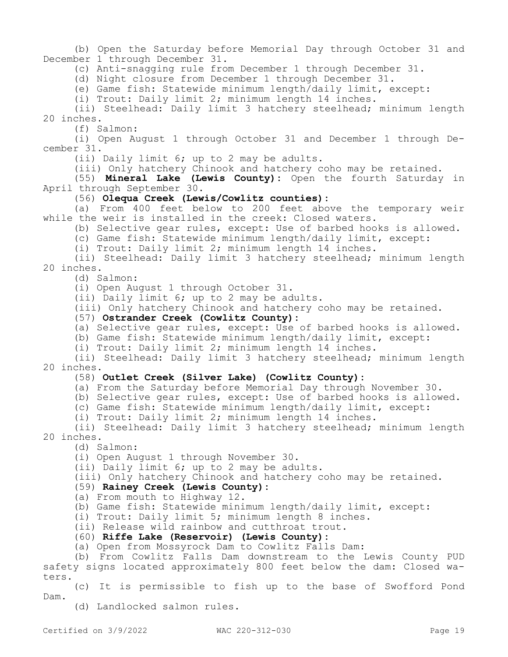(b) Open the Saturday before Memorial Day through October 31 and December 1 through December 31.

(c) Anti-snagging rule from December 1 through December 31.

(d) Night closure from December 1 through December 31.

(e) Game fish: Statewide minimum length/daily limit, except:

(i) Trout: Daily limit 2; minimum length 14 inches.

(ii) Steelhead: Daily limit 3 hatchery steelhead; minimum length 20 inches.

(f) Salmon:

(i) Open August 1 through October 31 and December 1 through December 31.

(ii) Daily limit 6; up to 2 may be adults.

(iii) Only hatchery Chinook and hatchery coho may be retained.

(55) **Mineral Lake (Lewis County):** Open the fourth Saturday in April through September 30.

(56) **Olequa Creek (Lewis/Cowlitz counties):**

(a) From 400 feet below to 200 feet above the temporary weir while the weir is installed in the creek: Closed waters.

(b) Selective gear rules, except: Use of barbed hooks is allowed.

(c) Game fish: Statewide minimum length/daily limit, except:

(i) Trout: Daily limit 2; minimum length 14 inches.

(ii) Steelhead: Daily limit 3 hatchery steelhead; minimum length 20 inches.

(d) Salmon:

(i) Open August 1 through October 31.

(ii) Daily limit 6; up to 2 may be adults.

(iii) Only hatchery Chinook and hatchery coho may be retained.

(57) **Ostrander Creek (Cowlitz County):**

(a) Selective gear rules, except: Use of barbed hooks is allowed.

(b) Game fish: Statewide minimum length/daily limit, except:

(i) Trout: Daily limit 2; minimum length 14 inches.

(ii) Steelhead: Daily limit 3 hatchery steelhead; minimum length 20 inches.

#### (58) **Outlet Creek (Silver Lake) (Cowlitz County):**

(a) From the Saturday before Memorial Day through November 30.

(b) Selective gear rules, except: Use of barbed hooks is allowed.

(c) Game fish: Statewide minimum length/daily limit, except:

(i) Trout: Daily limit 2; minimum length 14 inches.

(ii) Steelhead: Daily limit 3 hatchery steelhead; minimum length 20 inches.

(d) Salmon:

(i) Open August 1 through November 30.

(ii) Daily limit 6; up to 2 may be adults.

(iii) Only hatchery Chinook and hatchery coho may be retained.

## (59) **Rainey Creek (Lewis County):**

(a) From mouth to Highway 12.

(b) Game fish: Statewide minimum length/daily limit, except:

(i) Trout: Daily limit 5; minimum length 8 inches.

(ii) Release wild rainbow and cutthroat trout.

#### (60) **Riffe Lake (Reservoir) (Lewis County):**

(a) Open from Mossyrock Dam to Cowlitz Falls Dam:

(b) From Cowlitz Falls Dam downstream to the Lewis County PUD safety signs located approximately 800 feet below the dam: Closed waters.

(c) It is permissible to fish up to the base of Swofford Pond Dam.

(d) Landlocked salmon rules.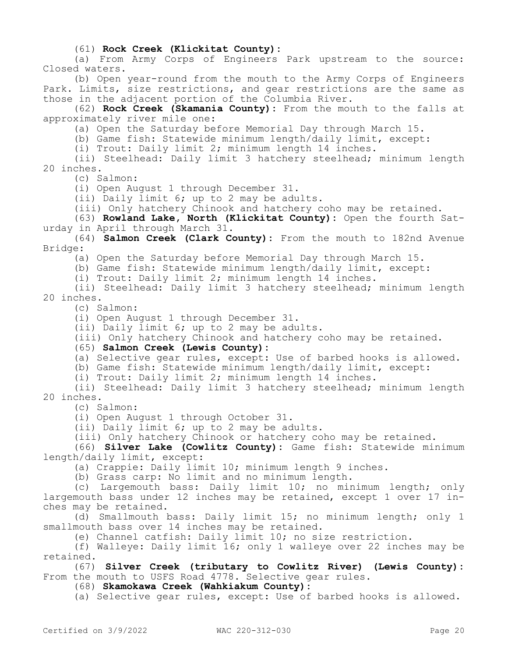#### (61) **Rock Creek (Klickitat County):**

(a) From Army Corps of Engineers Park upstream to the source: Closed waters.

(b) Open year-round from the mouth to the Army Corps of Engineers Park. Limits, size restrictions, and gear restrictions are the same as those in the adjacent portion of the Columbia River.

(62) **Rock Creek (Skamania County):** From the mouth to the falls at approximately river mile one:

(a) Open the Saturday before Memorial Day through March 15.

(b) Game fish: Statewide minimum length/daily limit, except:

(i) Trout: Daily limit 2; minimum length 14 inches.

(ii) Steelhead: Daily limit 3 hatchery steelhead; minimum length 20 inches.

(c) Salmon:

(i) Open August 1 through December 31.

(ii) Daily limit 6; up to 2 may be adults.

(iii) Only hatchery Chinook and hatchery coho may be retained.

(63) **Rowland Lake, North (Klickitat County):** Open the fourth Saturday in April through March 31.

(64) **Salmon Creek (Clark County):** From the mouth to 182nd Avenue Bridge:

(a) Open the Saturday before Memorial Day through March 15.

(b) Game fish: Statewide minimum length/daily limit, except:

(i) Trout: Daily limit 2; minimum length 14 inches.

(ii) Steelhead: Daily limit 3 hatchery steelhead; minimum length 20 inches.

(c) Salmon:

(i) Open August 1 through December 31.

(ii) Daily limit 6; up to 2 may be adults.

(iii) Only hatchery Chinook and hatchery coho may be retained.

#### (65) **Salmon Creek (Lewis County):**

(a) Selective gear rules, except: Use of barbed hooks is allowed.

(b) Game fish: Statewide minimum length/daily limit, except:

(i) Trout: Daily limit 2; minimum length 14 inches.

(ii) Steelhead: Daily limit 3 hatchery steelhead; minimum length 20 inches.

(c) Salmon:

(i) Open August 1 through October 31.

(ii) Daily limit 6; up to 2 may be adults.

(iii) Only hatchery Chinook or hatchery coho may be retained.

(66) **Silver Lake (Cowlitz County):** Game fish: Statewide minimum length/daily limit, except:

(a) Crappie: Daily limit 10; minimum length 9 inches.

(b) Grass carp: No limit and no minimum length.

(c) Largemouth bass: Daily limit 10; no minimum length; only largemouth bass under 12 inches may be retained, except 1 over 17 inches may be retained.

(d) Smallmouth bass: Daily limit 15; no minimum length; only 1 smallmouth bass over 14 inches may be retained.

(e) Channel catfish: Daily limit 10; no size restriction.

(f) Walleye: Daily limit 16; only 1 walleye over 22 inches may be retained.

(67) **Silver Creek (tributary to Cowlitz River) (Lewis County):**  From the mouth to USFS Road 4778. Selective gear rules.

(68) **Skamokawa Creek (Wahkiakum County):**

(a) Selective gear rules, except: Use of barbed hooks is allowed.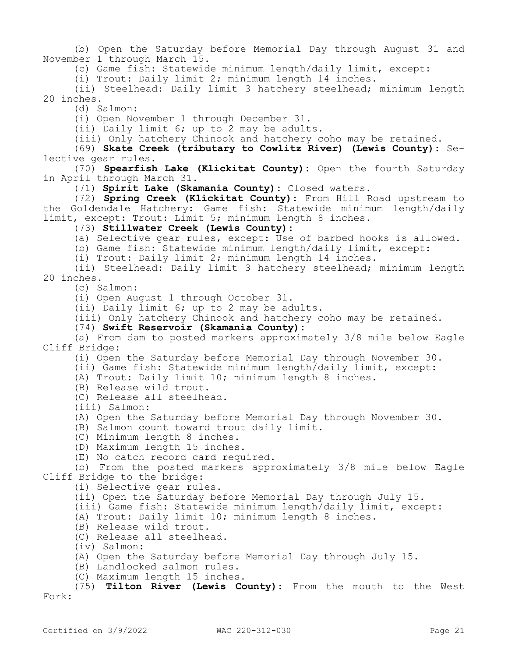(b) Open the Saturday before Memorial Day through August 31 and November 1 through March 15.

(c) Game fish: Statewide minimum length/daily limit, except:

(i) Trout: Daily limit 2; minimum length 14 inches.

(ii) Steelhead: Daily limit 3 hatchery steelhead; minimum length 20 inches.

(d) Salmon:

(i) Open November 1 through December 31.

(ii) Daily limit 6; up to 2 may be adults.

(iii) Only hatchery Chinook and hatchery coho may be retained.

(69) **Skate Creek (tributary to Cowlitz River) (Lewis County):** Selective gear rules.

(70) **Spearfish Lake (Klickitat County):** Open the fourth Saturday in April through March 31.

(71) **Spirit Lake (Skamania County):** Closed waters.

(72) **Spring Creek (Klickitat County):** From Hill Road upstream to the Goldendale Hatchery: Game fish: Statewide minimum length/daily limit, except: Trout: Limit 5; minimum length 8 inches.

(73) **Stillwater Creek (Lewis County):**

(a) Selective gear rules, except: Use of barbed hooks is allowed.

(b) Game fish: Statewide minimum length/daily limit, except:

(i) Trout: Daily limit 2; minimum length 14 inches.

(ii) Steelhead: Daily limit 3 hatchery steelhead; minimum length 20 inches.

(c) Salmon:

(i) Open August 1 through October 31.

(ii) Daily limit 6; up to 2 may be adults.

(iii) Only hatchery Chinook and hatchery coho may be retained.

(74) **Swift Reservoir (Skamania County):**

(a) From dam to posted markers approximately 3/8 mile below Eagle Cliff Bridge:

(i) Open the Saturday before Memorial Day through November 30.

(ii) Game fish: Statewide minimum length/daily limit, except:

(A) Trout: Daily limit 10; minimum length 8 inches.

(B) Release wild trout.

(C) Release all steelhead.

(iii) Salmon:

(A) Open the Saturday before Memorial Day through November 30.

(B) Salmon count toward trout daily limit.

(C) Minimum length 8 inches.

(D) Maximum length 15 inches.

(E) No catch record card required.

(b) From the posted markers approximately 3/8 mile below Eagle

Cliff Bridge to the bridge:

(i) Selective gear rules.

(ii) Open the Saturday before Memorial Day through July 15.

(iii) Game fish: Statewide minimum length/daily limit, except:

(A) Trout: Daily limit 10; minimum length 8 inches.

(B) Release wild trout.

(C) Release all steelhead.

(iv) Salmon:

(A) Open the Saturday before Memorial Day through July 15.

(B) Landlocked salmon rules.

(C) Maximum length 15 inches.

(75) **Tilton River (Lewis County):** From the mouth to the West Fork: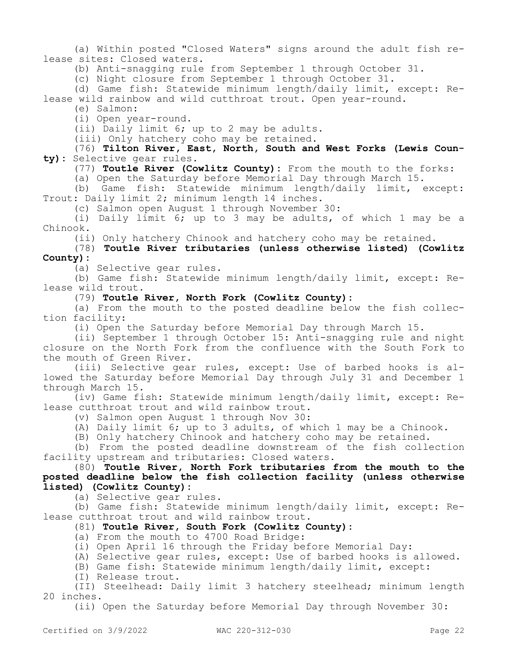(a) Within posted "Closed Waters" signs around the adult fish release sites: Closed waters.

(b) Anti-snagging rule from September 1 through October 31.

(c) Night closure from September 1 through October 31.

(d) Game fish: Statewide minimum length/daily limit, except: Release wild rainbow and wild cutthroat trout. Open year-round.

(e) Salmon:

(i) Open year-round.

(ii) Daily limit 6; up to 2 may be adults.

(iii) Only hatchery coho may be retained.

(76) **Tilton River, East, North, South and West Forks (Lewis County):** Selective gear rules.

(77) **Toutle River (Cowlitz County):** From the mouth to the forks:

(a) Open the Saturday before Memorial Day through March 15.

(b) Game fish: Statewide minimum length/daily limit, except: Trout: Daily limit 2; minimum length 14 inches.

(c) Salmon open August 1 through November 30:

(i) Daily limit 6; up to 3 may be adults, of which 1 may be a Chinook.

(ii) Only hatchery Chinook and hatchery coho may be retained.

## (78) **Toutle River tributaries (unless otherwise listed) (Cowlitz County):**

(a) Selective gear rules.

(b) Game fish: Statewide minimum length/daily limit, except: Release wild trout.

(79) **Toutle River, North Fork (Cowlitz County):**

(a) From the mouth to the posted deadline below the fish collection facility:

(i) Open the Saturday before Memorial Day through March 15.

(ii) September 1 through October 15: Anti-snagging rule and night closure on the North Fork from the confluence with the South Fork to the mouth of Green River.

(iii) Selective gear rules, except: Use of barbed hooks is allowed the Saturday before Memorial Day through July 31 and December 1 through March 15.

(iv) Game fish: Statewide minimum length/daily limit, except: Release cutthroat trout and wild rainbow trout.

(v) Salmon open August 1 through Nov 30:

(A) Daily limit 6; up to 3 adults, of which 1 may be a Chinook.

(B) Only hatchery Chinook and hatchery coho may be retained.

(b) From the posted deadline downstream of the fish collection facility upstream and tributaries: Closed waters.

(80) **Toutle River, North Fork tributaries from the mouth to the posted deadline below the fish collection facility (unless otherwise listed) (Cowlitz County):**

(a) Selective gear rules.

(b) Game fish: Statewide minimum length/daily limit, except: Release cutthroat trout and wild rainbow trout.

# (81) **Toutle River, South Fork (Cowlitz County):**

(a) From the mouth to 4700 Road Bridge:

(i) Open April 16 through the Friday before Memorial Day:

(A) Selective gear rules, except: Use of barbed hooks is allowed.

(B) Game fish: Statewide minimum length/daily limit, except:

(I) Release trout.

(II) Steelhead: Daily limit 3 hatchery steelhead; minimum length 20 inches.

(ii) Open the Saturday before Memorial Day through November 30: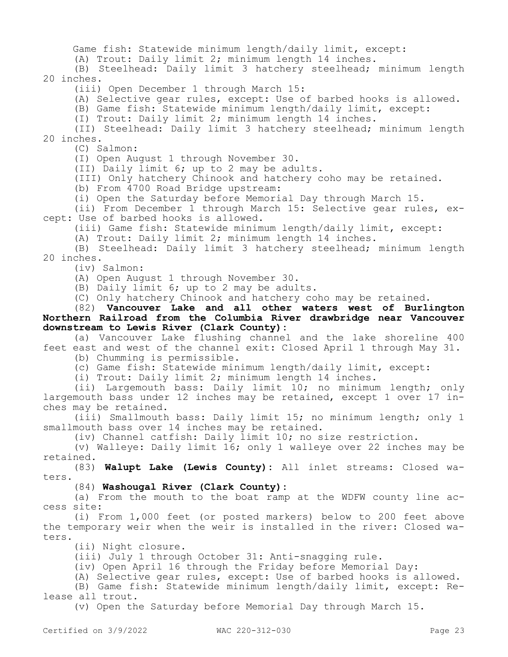Game fish: Statewide minimum length/daily limit, except:

(A) Trout: Daily limit 2; minimum length 14 inches.

(B) Steelhead: Daily limit 3 hatchery steelhead; minimum length 20 inches.

(iii) Open December 1 through March 15:

(A) Selective gear rules, except: Use of barbed hooks is allowed.

(B) Game fish: Statewide minimum length/daily limit, except:

(I) Trout: Daily limit 2; minimum length 14 inches.

(II) Steelhead: Daily limit 3 hatchery steelhead; minimum length 20 inches.

(C) Salmon:

(I) Open August 1 through November 30.

(II) Daily limit 6; up to 2 may be adults.

(III) Only hatchery Chinook and hatchery coho may be retained.

(b) From 4700 Road Bridge upstream:

(i) Open the Saturday before Memorial Day through March 15.

(ii) From December 1 through March 15: Selective gear rules, except: Use of barbed hooks is allowed.

(iii) Game fish: Statewide minimum length/daily limit, except:

(A) Trout: Daily limit 2; minimum length 14 inches.

(B) Steelhead: Daily limit 3 hatchery steelhead; minimum length 20 inches.

(iv) Salmon:

(A) Open August 1 through November 30.

(B) Daily limit 6; up to 2 may be adults.

(C) Only hatchery Chinook and hatchery coho may be retained.

(82) **Vancouver Lake and all other waters west of Burlington Northern Railroad from the Columbia River drawbridge near Vancouver downstream to Lewis River (Clark County):**

(a) Vancouver Lake flushing channel and the lake shoreline 400 feet east and west of the channel exit: Closed April 1 through May 31.

(b) Chumming is permissible.

(c) Game fish: Statewide minimum length/daily limit, except:

(i) Trout: Daily limit 2; minimum length 14 inches.

(ii) Largemouth bass: Daily limit 10; no minimum length; only largemouth bass under 12 inches may be retained, except 1 over 17 inches may be retained.

(iii) Smallmouth bass: Daily limit 15; no minimum length; only 1 smallmouth bass over 14 inches may be retained.

(iv) Channel catfish: Daily limit 10; no size restriction.

(v) Walleye: Daily limit 16; only 1 walleye over 22 inches may be retained.

(83) **Walupt Lake (Lewis County):** All inlet streams: Closed waters.

(84) **Washougal River (Clark County):**

(a) From the mouth to the boat ramp at the WDFW county line access site:

(i) From 1,000 feet (or posted markers) below to 200 feet above the temporary weir when the weir is installed in the river: Closed waters.

(ii) Night closure.

(iii) July 1 through October 31: Anti-snagging rule.

(iv) Open April 16 through the Friday before Memorial Day:

(A) Selective gear rules, except: Use of barbed hooks is allowed.

(B) Game fish: Statewide minimum length/daily limit, except: Release all trout.

(v) Open the Saturday before Memorial Day through March 15.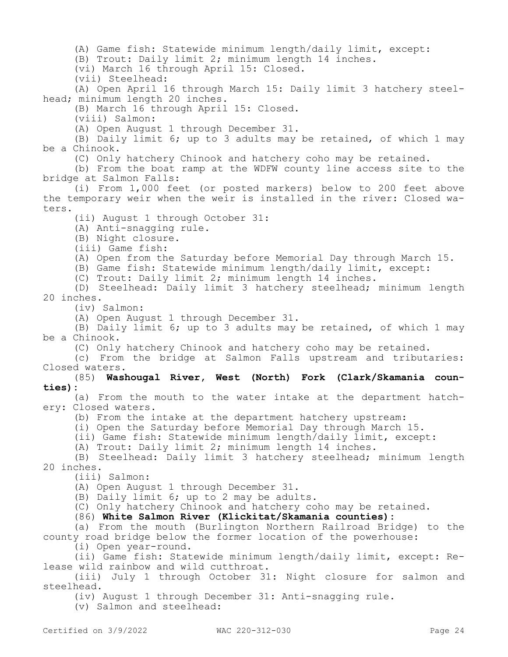(A) Game fish: Statewide minimum length/daily limit, except:

(B) Trout: Daily limit 2; minimum length 14 inches.

(vi) March 16 through April 15: Closed.

(vii) Steelhead:

(A) Open April 16 through March 15: Daily limit 3 hatchery steelhead; minimum length 20 inches.

(B) March 16 through April 15: Closed.

(viii) Salmon:

(A) Open August 1 through December 31.

(B) Daily limit 6; up to 3 adults may be retained, of which 1 may be a Chinook.

(C) Only hatchery Chinook and hatchery coho may be retained.

(b) From the boat ramp at the WDFW county line access site to the bridge at Salmon Falls:

(i) From 1,000 feet (or posted markers) below to 200 feet above the temporary weir when the weir is installed in the river: Closed waters.

(ii) August 1 through October 31:

(A) Anti-snagging rule.

(B) Night closure.

(iii) Game fish:

(A) Open from the Saturday before Memorial Day through March 15.

(B) Game fish: Statewide minimum length/daily limit, except:

(C) Trout: Daily limit 2; minimum length 14 inches.

(D) Steelhead: Daily limit 3 hatchery steelhead; minimum length 20 inches.

(iv) Salmon:

(A) Open August 1 through December 31.

(B) Daily limit 6; up to 3 adults may be retained, of which 1 may be a Chinook.

(C) Only hatchery Chinook and hatchery coho may be retained.

(c) From the bridge at Salmon Falls upstream and tributaries: Closed waters.

#### (85) **Washougal River, West (North) Fork (Clark/Skamania counties):**

(a) From the mouth to the water intake at the department hatchery: Closed waters.

(b) From the intake at the department hatchery upstream:

(i) Open the Saturday before Memorial Day through March 15.

(ii) Game fish: Statewide minimum length/daily limit, except:

(A) Trout: Daily limit 2; minimum length 14 inches.

(B) Steelhead: Daily limit 3 hatchery steelhead; minimum length 20 inches.

(iii) Salmon:

(A) Open August 1 through December 31.

(B) Daily limit 6; up to 2 may be adults.

(C) Only hatchery Chinook and hatchery coho may be retained.

(86) **White Salmon River (Klickitat/Skamania counties):**

(a) From the mouth (Burlington Northern Railroad Bridge) to the county road bridge below the former location of the powerhouse:

(i) Open year-round.

(ii) Game fish: Statewide minimum length/daily limit, except: Release wild rainbow and wild cutthroat.

(iii) July 1 through October 31: Night closure for salmon and steelhead.

(iv) August 1 through December 31: Anti-snagging rule.

(v) Salmon and steelhead: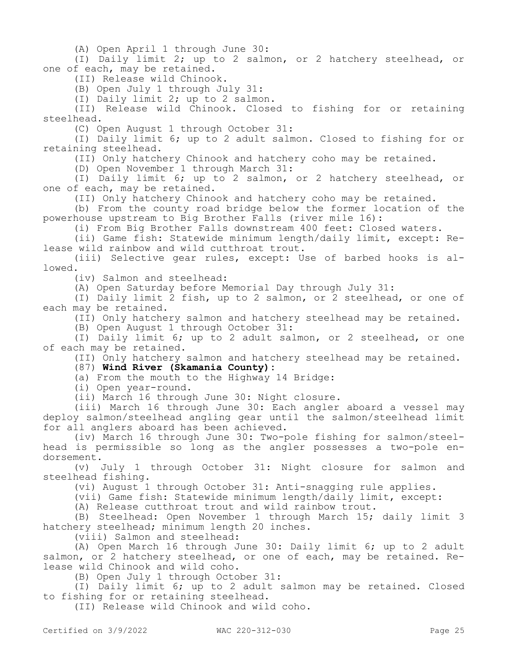(A) Open April 1 through June 30:

(I) Daily limit 2; up to 2 salmon, or 2 hatchery steelhead, or one of each, may be retained.

(II) Release wild Chinook.

(B) Open July 1 through July 31:

(I) Daily limit 2; up to 2 salmon.

(II) Release wild Chinook. Closed to fishing for or retaining steelhead.

(C) Open August 1 through October 31:

(I) Daily limit 6; up to 2 adult salmon. Closed to fishing for or retaining steelhead.

(II) Only hatchery Chinook and hatchery coho may be retained.

(D) Open November 1 through March 31:

(I) Daily limit 6; up to 2 salmon, or 2 hatchery steelhead, or one of each, may be retained.

(II) Only hatchery Chinook and hatchery coho may be retained.

(b) From the county road bridge below the former location of the powerhouse upstream to Big Brother Falls (river mile 16):

(i) From Big Brother Falls downstream 400 feet: Closed waters.

(ii) Game fish: Statewide minimum length/daily limit, except: Release wild rainbow and wild cutthroat trout.

(iii) Selective gear rules, except: Use of barbed hooks is allowed.

(iv) Salmon and steelhead:

(A) Open Saturday before Memorial Day through July 31:

(I) Daily limit 2 fish, up to 2 salmon, or 2 steelhead, or one of each may be retained.

(II) Only hatchery salmon and hatchery steelhead may be retained.

(B) Open August 1 through October 31:

(I) Daily limit 6; up to 2 adult salmon, or 2 steelhead, or one of each may be retained.

(II) Only hatchery salmon and hatchery steelhead may be retained.

(87) **Wind River (Skamania County):**

(a) From the mouth to the Highway 14 Bridge:

(i) Open year-round.

(ii) March 16 through June 30: Night closure.

(iii) March 16 through June 30: Each angler aboard a vessel may deploy salmon/steelhead angling gear until the salmon/steelhead limit for all anglers aboard has been achieved.

(iv) March 16 through June 30: Two-pole fishing for salmon/steelhead is permissible so long as the angler possesses a two-pole endorsement.

(v) July 1 through October 31: Night closure for salmon and steelhead fishing.

(vi) August 1 through October 31: Anti-snagging rule applies.

(vii) Game fish: Statewide minimum length/daily limit, except:

(A) Release cutthroat trout and wild rainbow trout.

(B) Steelhead: Open November 1 through March 15; daily limit 3 hatchery steelhead; minimum length 20 inches.

(viii) Salmon and steelhead:

(A) Open March 16 through June 30: Daily limit 6; up to 2 adult salmon, or 2 hatchery steelhead, or one of each, may be retained. Release wild Chinook and wild coho.

(B) Open July 1 through October 31:

(I) Daily limit 6; up to 2 adult salmon may be retained. Closed to fishing for or retaining steelhead.

(II) Release wild Chinook and wild coho.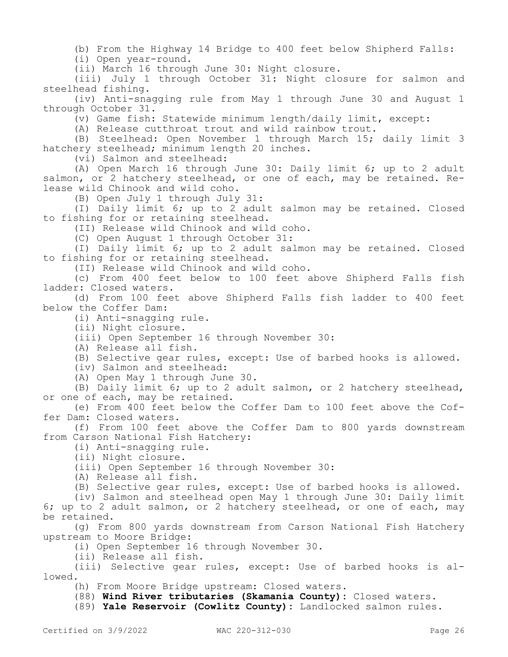(b) From the Highway 14 Bridge to 400 feet below Shipherd Falls:

(i) Open year-round.

(ii) March 16 through June 30: Night closure.

(iii) July 1 through October 31: Night closure for salmon and steelhead fishing.

(iv) Anti-snagging rule from May 1 through June 30 and August 1 through October 31.

(v) Game fish: Statewide minimum length/daily limit, except:

(A) Release cutthroat trout and wild rainbow trout.

(B) Steelhead: Open November 1 through March 15; daily limit 3 hatchery steelhead; minimum length 20 inches.

(vi) Salmon and steelhead:

(A) Open March 16 through June 30: Daily limit 6; up to 2 adult salmon, or 2 hatchery steelhead, or one of each, may be retained. Release wild Chinook and wild coho.

(B) Open July 1 through July 31:

(I) Daily limit 6; up to 2 adult salmon may be retained. Closed to fishing for or retaining steelhead.

(II) Release wild Chinook and wild coho.

(C) Open August 1 through October 31:

(I) Daily limit 6; up to 2 adult salmon may be retained. Closed to fishing for or retaining steelhead.

(II) Release wild Chinook and wild coho.

(c) From 400 feet below to 100 feet above Shipherd Falls fish ladder: Closed waters.

(d) From 100 feet above Shipherd Falls fish ladder to 400 feet below the Coffer Dam:

(i) Anti-snagging rule.

(ii) Night closure.

(iii) Open September 16 through November 30:

(A) Release all fish.

(B) Selective gear rules, except: Use of barbed hooks is allowed.

(iv) Salmon and steelhead:

(A) Open May 1 through June 30.

(B) Daily limit 6; up to 2 adult salmon, or 2 hatchery steelhead, or one of each, may be retained.

(e) From 400 feet below the Coffer Dam to 100 feet above the Coffer Dam: Closed waters.

(f) From 100 feet above the Coffer Dam to 800 yards downstream from Carson National Fish Hatchery:

(i) Anti-snagging rule.

(ii) Night closure.

(iii) Open September 16 through November 30:

(A) Release all fish.

(B) Selective gear rules, except: Use of barbed hooks is allowed.

(iv) Salmon and steelhead open May 1 through June 30: Daily limit 6; up to 2 adult salmon, or 2 hatchery steelhead, or one of each, may be retained.

(g) From 800 yards downstream from Carson National Fish Hatchery upstream to Moore Bridge:

(i) Open September 16 through November 30.

(ii) Release all fish.

(iii) Selective gear rules, except: Use of barbed hooks is allowed.

(h) From Moore Bridge upstream: Closed waters.

(88) **Wind River tributaries (Skamania County):** Closed waters.

(89) **Yale Reservoir (Cowlitz County):** Landlocked salmon rules.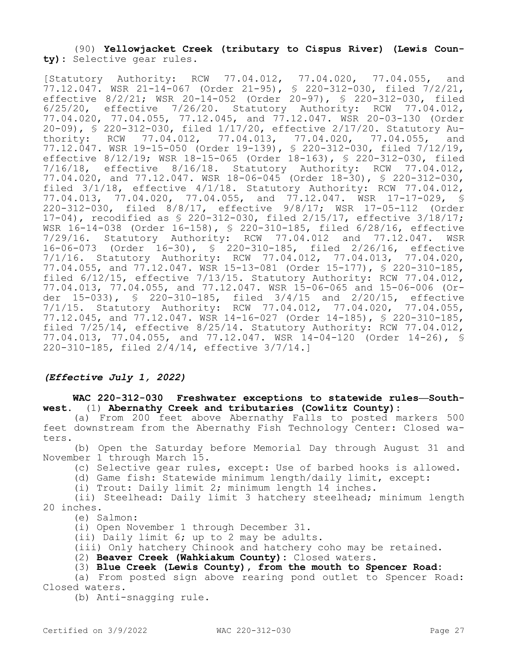## (90) **Yellowjacket Creek (tributary to Cispus River) (Lewis County):** Selective gear rules.

[Statutory Authority: RCW 77.04.012, 77.04.020, 77.04.055, and 77.12.047. WSR 21-14-067 (Order 21-95), § 220-312-030, filed 7/2/21, effective 8/2/21; WSR 20-14-052 (Order 20-97), § 220-312-030, filed 6/25/20, effective 7/26/20. Statutory Authority: RCW 77.04.012, 77.04.020, 77.04.055, 77.12.045, and 77.12.047. WSR 20-03-130 (Order 20-09), § 220-312-030, filed 1/17/20, effective 2/17/20. Statutory Authority: RCW 77.04.012, 77.04.013, 77.04.020, 77.04.055, and 77.12.047. WSR 19-15-050 (Order 19-139), § 220-312-030, filed 7/12/19, effective 8/12/19; WSR 18-15-065 (Order 18-163), § 220-312-030, filed 7/16/18, effective 8/16/18. Statutory Authority: RCW 77.04.012, 77.04.020, and 77.12.047. WSR 18-06-045 (Order 18-30), § 220-312-030, filed 3/1/18, effective 4/1/18. Statutory Authority: RCW 77.04.012, 77.04.013, 77.04.020, 77.04.055, and 77.12.047. WSR 17-17-029, § 220-312-030, filed 8/8/17, effective 9/8/17; WSR 17-05-112 (Order 17-04), recodified as § 220-312-030, filed 2/15/17, effective 3/18/17; WSR 16-14-038 (Order 16-158), § 220-310-185, filed 6/28/16, effective 7/29/16. Statutory Authority: RCW 77.04.012 and 77.12.047. WSR 16-06-073 (Order 16-30), § 220-310-185, filed 2/26/16, effective 7/1/16. Statutory Authority: RCW 77.04.012, 77.04.013, 77.04.020, 77.04.055, and 77.12.047. WSR 15-13-081 (Order 15-177), § 220-310-185, filed 6/12/15, effective 7/13/15. Statutory Authority: RCW 77.04.012, 77.04.013, 77.04.055, and 77.12.047. WSR 15-06-065 and 15-06-006 (Order 15-033), § 220-310-185, filed 3/4/15 and 2/20/15, effective 7/1/15. Statutory Authority: RCW 77.04.012, 77.04.020, 77.04.055, 77.12.045, and 77.12.047. WSR 14-16-027 (Order 14-185), § 220-310-185, filed 7/25/14, effective 8/25/14. Statutory Authority: RCW 77.04.012, 77.04.013, 77.04.055, and 77.12.047. WSR 14-04-120 (Order 14-26), § 220-310-185, filed 2/4/14, effective 3/7/14.]

## *(Effective July 1, 2022)*

## **WAC 220-312-030 Freshwater exceptions to statewide rules—Southwest.** (1) **Abernathy Creek and tributaries (Cowlitz County):**

(a) From 200 feet above Abernathy Falls to posted markers 500 feet downstream from the Abernathy Fish Technology Center: Closed waters.

(b) Open the Saturday before Memorial Day through August 31 and November 1 through March 15.

(c) Selective gear rules, except: Use of barbed hooks is allowed.

(d) Game fish: Statewide minimum length/daily limit, except:

(i) Trout: Daily limit 2; minimum length 14 inches.

(ii) Steelhead: Daily limit 3 hatchery steelhead; minimum length 20 inches.

(e) Salmon:

(i) Open November 1 through December 31.

(ii) Daily limit 6; up to 2 may be adults.

(iii) Only hatchery Chinook and hatchery coho may be retained.

(2) **Beaver Creek (Wahkiakum County):** Closed waters.

(3) **Blue Creek (Lewis County), from the mouth to Spencer Road:**

(a) From posted sign above rearing pond outlet to Spencer Road: Closed waters.

(b) Anti-snagging rule.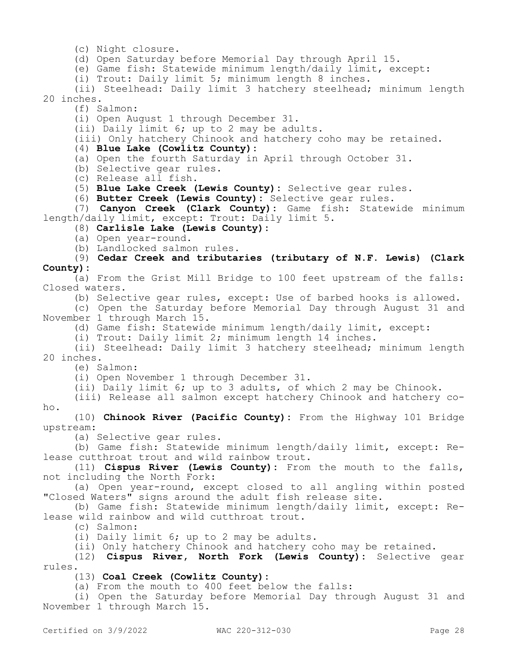(c) Night closure.

(d) Open Saturday before Memorial Day through April 15.

(e) Game fish: Statewide minimum length/daily limit, except:

(i) Trout: Daily limit 5; minimum length 8 inches.

(ii) Steelhead: Daily limit 3 hatchery steelhead; minimum length 20 inches.

(f) Salmon:

(i) Open August 1 through December 31.

(ii) Daily limit 6; up to 2 may be adults.

(iii) Only hatchery Chinook and hatchery coho may be retained.

## (4) **Blue Lake (Cowlitz County):**

(a) Open the fourth Saturday in April through October 31.

(b) Selective gear rules.

(c) Release all fish.

(5) **Blue Lake Creek (Lewis County):** Selective gear rules.

(6) **Butter Creek (Lewis County):** Selective gear rules.

(7) **Canyon Creek (Clark County):** Game fish: Statewide minimum length/daily limit, except: Trout: Daily limit 5.

(8) **Carlisle Lake (Lewis County):**

(a) Open year-round.

(b) Landlocked salmon rules.

(9) **Cedar Creek and tributaries (tributary of N.F. Lewis) (Clark County):**

(a) From the Grist Mill Bridge to 100 feet upstream of the falls: Closed waters.

(b) Selective gear rules, except: Use of barbed hooks is allowed.

(c) Open the Saturday before Memorial Day through August 31 and November 1 through March 15.

(d) Game fish: Statewide minimum length/daily limit, except:

(i) Trout: Daily limit 2; minimum length 14 inches.

(ii) Steelhead: Daily limit 3 hatchery steelhead; minimum length 20 inches.

(e) Salmon:

(i) Open November 1 through December 31.

(ii) Daily limit 6; up to 3 adults, of which 2 may be Chinook.

(iii) Release all salmon except hatchery Chinook and hatchery coho.

(10) **Chinook River (Pacific County):** From the Highway 101 Bridge upstream:

(a) Selective gear rules.

(b) Game fish: Statewide minimum length/daily limit, except: Release cutthroat trout and wild rainbow trout.

(11) **Cispus River (Lewis County):** From the mouth to the falls, not including the North Fork:

(a) Open year-round, except closed to all angling within posted "Closed Waters" signs around the adult fish release site.

(b) Game fish: Statewide minimum length/daily limit, except: Release wild rainbow and wild cutthroat trout.

(c) Salmon:

(i) Daily limit 6; up to 2 may be adults.

(ii) Only hatchery Chinook and hatchery coho may be retained.

(12) **Cispus River, North Fork (Lewis County):** Selective gear rules.

(13) **Coal Creek (Cowlitz County):**

(a) From the mouth to 400 feet below the falls:

(i) Open the Saturday before Memorial Day through August 31 and November 1 through March 15.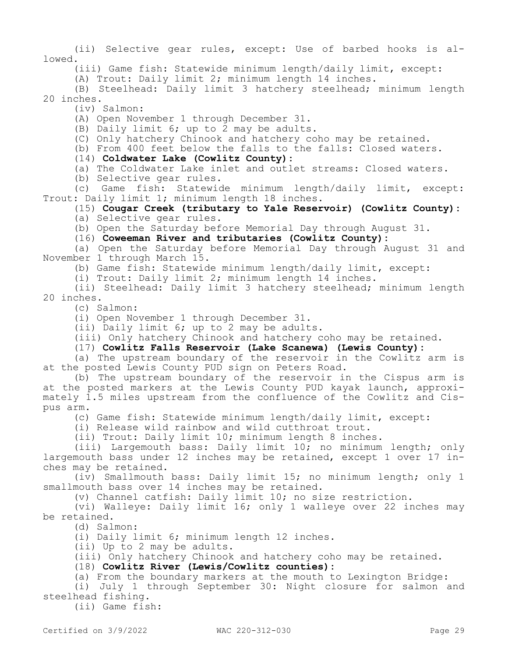(ii) Selective gear rules, except: Use of barbed hooks is allowed.

(iii) Game fish: Statewide minimum length/daily limit, except:

(A) Trout: Daily limit 2; minimum length 14 inches.

(B) Steelhead: Daily limit 3 hatchery steelhead; minimum length 20 inches.

(iv) Salmon:

(A) Open November 1 through December 31.

(B) Daily limit 6; up to 2 may be adults.

(C) Only hatchery Chinook and hatchery coho may be retained.

(b) From 400 feet below the falls to the falls: Closed waters.

(14) **Coldwater Lake (Cowlitz County):**

(a) The Coldwater Lake inlet and outlet streams: Closed waters.

(b) Selective gear rules.

(c) Game fish: Statewide minimum length/daily limit, except: Trout: Daily limit 1; minimum length 18 inches.

#### (15) **Cougar Creek (tributary to Yale Reservoir) (Cowlitz County):**

(a) Selective gear rules.

(b) Open the Saturday before Memorial Day through August 31.

(16) **Coweeman River and tributaries (Cowlitz County):**

(a) Open the Saturday before Memorial Day through August 31 and November 1 through March 15.

(b) Game fish: Statewide minimum length/daily limit, except:

(i) Trout: Daily limit 2; minimum length 14 inches.

(ii) Steelhead: Daily limit 3 hatchery steelhead; minimum length 20 inches.

(c) Salmon:

(i) Open November 1 through December 31.

(ii) Daily limit 6; up to 2 may be adults.

(iii) Only hatchery Chinook and hatchery coho may be retained.

(17) **Cowlitz Falls Reservoir (Lake Scanewa) (Lewis County):**

(a) The upstream boundary of the reservoir in the Cowlitz arm is at the posted Lewis County PUD sign on Peters Road.

(b) The upstream boundary of the reservoir in the Cispus arm is at the posted markers at the Lewis County PUD kayak launch, approximately 1.5 miles upstream from the confluence of the Cowlitz and Cispus arm.

(c) Game fish: Statewide minimum length/daily limit, except:

(i) Release wild rainbow and wild cutthroat trout.

(ii) Trout: Daily limit 10; minimum length 8 inches.

(iii) Largemouth bass: Daily limit 10; no minimum length; only largemouth bass under 12 inches may be retained, except 1 over 17 inches may be retained.

(iv) Smallmouth bass: Daily limit 15; no minimum length; only 1 smallmouth bass over 14 inches may be retained.

(v) Channel catfish: Daily limit 10; no size restriction.

(vi) Walleye: Daily limit 16; only 1 walleye over 22 inches may be retained.

(d) Salmon:

(i) Daily limit 6; minimum length 12 inches.

(ii) Up to 2 may be adults.

(iii) Only hatchery Chinook and hatchery coho may be retained.

(18) **Cowlitz River (Lewis/Cowlitz counties):**

(a) From the boundary markers at the mouth to Lexington Bridge:

(i) July 1 through September 30: Night closure for salmon and steelhead fishing.

(ii) Game fish: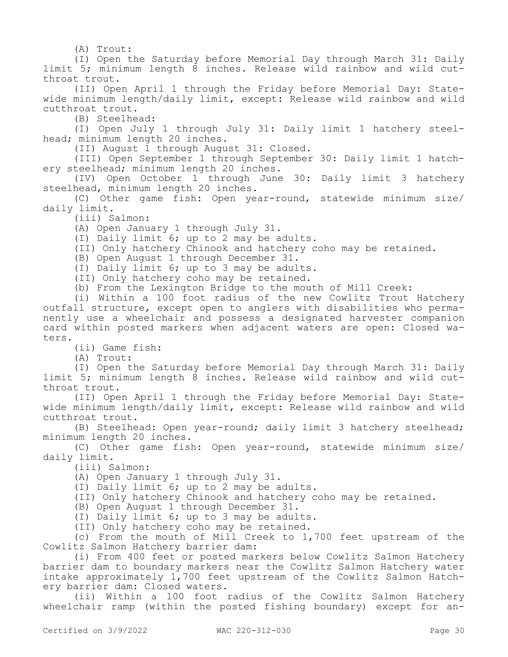(A) Trout:

(I) Open the Saturday before Memorial Day through March 31: Daily limit 5; minimum length 8 inches. Release wild rainbow and wild cutthroat trout.

(II) Open April 1 through the Friday before Memorial Day: Statewide minimum length/daily limit, except: Release wild rainbow and wild cutthroat trout.

(B) Steelhead:

(I) Open July 1 through July 31: Daily limit 1 hatchery steelhead; minimum length 20 inches.

(II) August 1 through August 31: Closed.

(III) Open September 1 through September 30: Daily limit 1 hatchery steelhead; minimum length 20 inches.

(IV) Open October 1 through June 30: Daily limit 3 hatchery steelhead, minimum length 20 inches.

(C) Other game fish: Open year-round, statewide minimum size/ daily limit.

(iii) Salmon:

(A) Open January 1 through July 31.

(I) Daily limit 6; up to 2 may be adults.

(II) Only hatchery Chinook and hatchery coho may be retained.

(B) Open August 1 through December 31.

(I) Daily limit 6; up to 3 may be adults.

(II) Only hatchery coho may be retained.

(b) From the Lexington Bridge to the mouth of Mill Creek:

(i) Within a 100 foot radius of the new Cowlitz Trout Hatchery outfall structure, except open to anglers with disabilities who permanently use a wheelchair and possess a designated harvester companion card within posted markers when adjacent waters are open: Closed waters.

(ii) Game fish:

(A) Trout:

(I) Open the Saturday before Memorial Day through March 31: Daily limit 5; minimum length 8 inches. Release wild rainbow and wild cutthroat trout.

(II) Open April 1 through the Friday before Memorial Day: Statewide minimum length/daily limit, except: Release wild rainbow and wild cutthroat trout.

(B) Steelhead: Open year-round; daily limit 3 hatchery steelhead; minimum length 20 inches.

(C) Other game fish: Open year-round, statewide minimum size/ daily limit.

(iii) Salmon:

(A) Open January 1 through July 31.

(I) Daily limit 6; up to 2 may be adults.

(II) Only hatchery Chinook and hatchery coho may be retained.

(B) Open August 1 through December 31.

(I) Daily limit 6; up to 3 may be adults.

(II) Only hatchery coho may be retained.

(c) From the mouth of Mill Creek to 1,700 feet upstream of the Cowlitz Salmon Hatchery barrier dam:

(i) From 400 feet or posted markers below Cowlitz Salmon Hatchery barrier dam to boundary markers near the Cowlitz Salmon Hatchery water intake approximately 1,700 feet upstream of the Cowlitz Salmon Hatchery barrier dam: Closed waters.

(ii) Within a 100 foot radius of the Cowlitz Salmon Hatchery wheelchair ramp (within the posted fishing boundary) except for an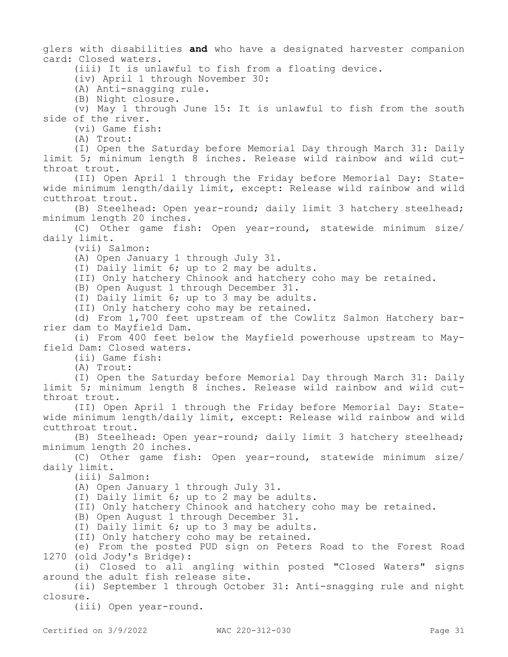glers with disabilities **and** who have a designated harvester companion card: Closed waters.

(iii) It is unlawful to fish from a floating device.

(iv) April 1 through November 30:

(A) Anti-snagging rule.

(B) Night closure.

(v) May 1 through June 15: It is unlawful to fish from the south side of the river.

(vi) Game fish:

(A) Trout:

(I) Open the Saturday before Memorial Day through March 31: Daily limit 5; minimum length 8 inches. Release wild rainbow and wild cutthroat trout.

(II) Open April 1 through the Friday before Memorial Day: Statewide minimum length/daily limit, except: Release wild rainbow and wild cutthroat trout.

(B) Steelhead: Open year-round; daily limit 3 hatchery steelhead; minimum length 20 inches.

(C) Other game fish: Open year-round, statewide minimum size/ daily limit.

(vii) Salmon:

(A) Open January 1 through July 31.

(I) Daily limit 6; up to 2 may be adults.

(II) Only hatchery Chinook and hatchery coho may be retained.

(B) Open August 1 through December 31.

(I) Daily limit 6; up to 3 may be adults.

(II) Only hatchery coho may be retained.

(d) From 1,700 feet upstream of the Cowlitz Salmon Hatchery barrier dam to Mayfield Dam.

(i) From 400 feet below the Mayfield powerhouse upstream to Mayfield Dam: Closed waters.

(ii) Game fish:

(A) Trout:

(I) Open the Saturday before Memorial Day through March 31: Daily limit 5; minimum length 8 inches. Release wild rainbow and wild cutthroat trout.

(II) Open April 1 through the Friday before Memorial Day: Statewide minimum length/daily limit, except: Release wild rainbow and wild cutthroat trout.

(B) Steelhead: Open year-round; daily limit 3 hatchery steelhead; minimum length 20 inches.

(C) Other game fish: Open year-round, statewide minimum size/ daily limit.

(iii) Salmon:

(A) Open January 1 through July 31.

(I) Daily limit 6; up to 2 may be adults.

(II) Only hatchery Chinook and hatchery coho may be retained.

(B) Open August 1 through December 31.

(I) Daily limit 6; up to 3 may be adults.

(II) Only hatchery coho may be retained.

(e) From the posted PUD sign on Peters Road to the Forest Road 1270 (old Jody's Bridge):

(i) Closed to all angling within posted "Closed Waters" signs around the adult fish release site.

(ii) September 1 through October 31: Anti-snagging rule and night closure.

(iii) Open year-round.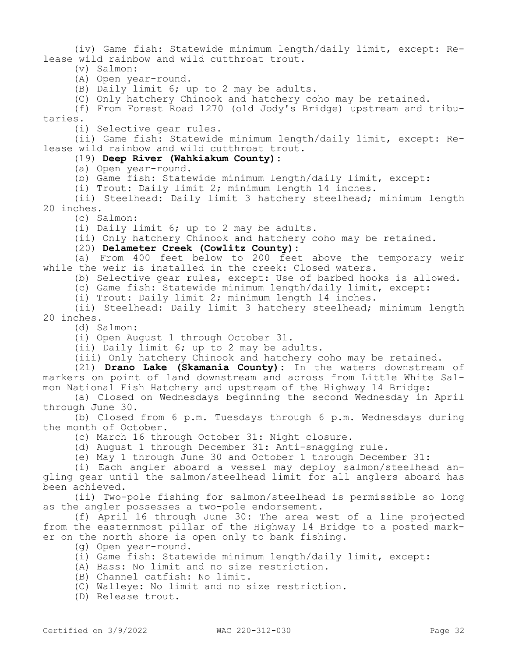(iv) Game fish: Statewide minimum length/daily limit, except: Release wild rainbow and wild cutthroat trout.

- (v) Salmon:
- (A) Open year-round.

(B) Daily limit 6; up to 2 may be adults.

(C) Only hatchery Chinook and hatchery coho may be retained.

(f) From Forest Road 1270 (old Jody's Bridge) upstream and tributaries.

(i) Selective gear rules.

(ii) Game fish: Statewide minimum length/daily limit, except: Release wild rainbow and wild cutthroat trout.

#### (19) **Deep River (Wahkiakum County):**

(a) Open year-round.

(b) Game fish: Statewide minimum length/daily limit, except:

(i) Trout: Daily limit 2; minimum length 14 inches.

(ii) Steelhead: Daily limit 3 hatchery steelhead; minimum length 20 inches.

(c) Salmon:

(i) Daily limit 6; up to 2 may be adults.

(ii) Only hatchery Chinook and hatchery coho may be retained.

(20) **Delameter Creek (Cowlitz County):**

(a) From 400 feet below to 200 feet above the temporary weir while the weir is installed in the creek: Closed waters.

(b) Selective gear rules, except: Use of barbed hooks is allowed.

(c) Game fish: Statewide minimum length/daily limit, except:

(i) Trout: Daily limit 2; minimum length 14 inches.

(ii) Steelhead: Daily limit 3 hatchery steelhead; minimum length 20 inches.

(d) Salmon:

(i) Open August 1 through October 31.

(ii) Daily limit 6; up to 2 may be adults.

(iii) Only hatchery Chinook and hatchery coho may be retained.

(21) **Drano Lake (Skamania County):** In the waters downstream of markers on point of land downstream and across from Little White Salmon National Fish Hatchery and upstream of the Highway 14 Bridge:

(a) Closed on Wednesdays beginning the second Wednesday in April through June 30.

(b) Closed from 6 p.m. Tuesdays through 6 p.m. Wednesdays during the month of October.

(c) March 16 through October 31: Night closure.

(d) August 1 through December 31: Anti-snagging rule.

(e) May 1 through June 30 and October 1 through December 31:

(i) Each angler aboard a vessel may deploy salmon/steelhead angling gear until the salmon/steelhead limit for all anglers aboard has been achieved.

(ii) Two-pole fishing for salmon/steelhead is permissible so long as the angler possesses a two-pole endorsement.

(f) April 16 through June 30: The area west of a line projected from the easternmost pillar of the Highway 14 Bridge to a posted marker on the north shore is open only to bank fishing.

(g) Open year-round.

- (i) Game fish: Statewide minimum length/daily limit, except:
- (A) Bass: No limit and no size restriction.
- (B) Channel catfish: No limit.
- (C) Walleye: No limit and no size restriction.
- (D) Release trout.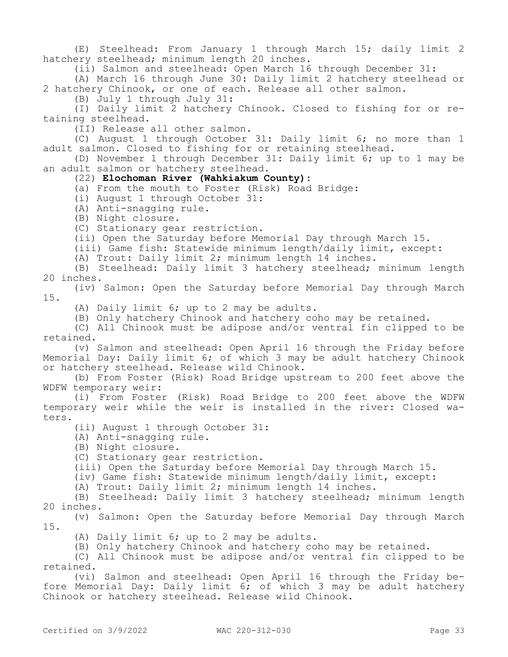(E) Steelhead: From January 1 through March 15; daily limit 2 hatchery steelhead; minimum length 20 inches.

(ii) Salmon and steelhead: Open March 16 through December 31:

(A) March 16 through June 30: Daily limit 2 hatchery steelhead or 2 hatchery Chinook, or one of each. Release all other salmon.

(B) July 1 through July 31:

(I) Daily limit 2 hatchery Chinook. Closed to fishing for or retaining steelhead.

(II) Release all other salmon.

(C) August 1 through October 31: Daily limit 6; no more than 1 adult salmon. Closed to fishing for or retaining steelhead.

(D) November 1 through December 31: Daily limit 6; up to 1 may be an adult salmon or hatchery steelhead.

# (22) **Elochoman River (Wahkiakum County):**

(a) From the mouth to Foster (Risk) Road Bridge:

- (i) August 1 through October 31:
- (A) Anti-snagging rule.

(B) Night closure.

(C) Stationary gear restriction.

(ii) Open the Saturday before Memorial Day through March 15.

(iii) Game fish: Statewide minimum length/daily limit, except:

(A) Trout: Daily limit 2; minimum length 14 inches.

(B) Steelhead: Daily limit 3 hatchery steelhead; minimum length 20 inches.

(iv) Salmon: Open the Saturday before Memorial Day through March 15.

(A) Daily limit 6; up to 2 may be adults.

(B) Only hatchery Chinook and hatchery coho may be retained.

(C) All Chinook must be adipose and/or ventral fin clipped to be retained.

(v) Salmon and steelhead: Open April 16 through the Friday before Memorial Day: Daily limit 6; of which 3 may be adult hatchery Chinook or hatchery steelhead. Release wild Chinook.

(b) From Foster (Risk) Road Bridge upstream to 200 feet above the WDFW temporary weir:

(i) From Foster (Risk) Road Bridge to 200 feet above the WDFW temporary weir while the weir is installed in the river: Closed waters.

(ii) August 1 through October 31:

(A) Anti-snagging rule.

(B) Night closure.

(C) Stationary gear restriction.

(iii) Open the Saturday before Memorial Day through March 15.

(iv) Game fish: Statewide minimum length/daily limit, except:

(A) Trout: Daily limit 2; minimum length 14 inches.

(B) Steelhead: Daily limit 3 hatchery steelhead; minimum length 20 inches.

(v) Salmon: Open the Saturday before Memorial Day through March 15.

(A) Daily limit 6; up to 2 may be adults.

(B) Only hatchery Chinook and hatchery coho may be retained.

(C) All Chinook must be adipose and/or ventral fin clipped to be retained.

(vi) Salmon and steelhead: Open April 16 through the Friday before Memorial Day: Daily limit 6; of which 3 may be adult hatchery Chinook or hatchery steelhead. Release wild Chinook.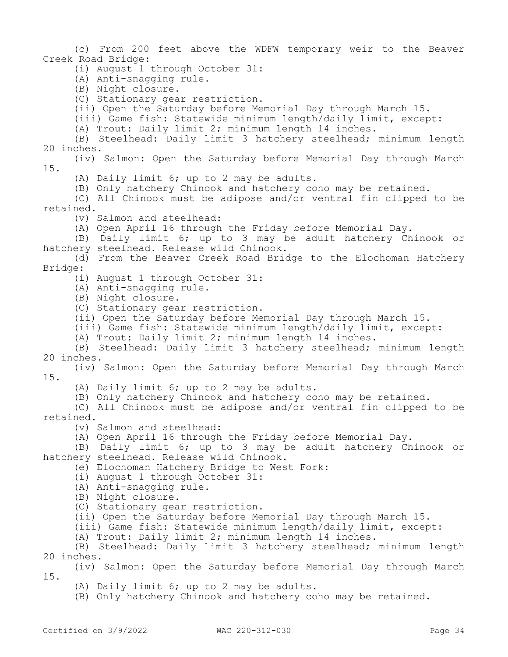(c) From 200 feet above the WDFW temporary weir to the Beaver Creek Road Bridge:

(i) August 1 through October 31:

(A) Anti-snagging rule.

(B) Night closure.

(C) Stationary gear restriction.

(ii) Open the Saturday before Memorial Day through March 15.

(iii) Game fish: Statewide minimum length/daily limit, except:

(A) Trout: Daily limit 2; minimum length 14 inches.

(B) Steelhead: Daily limit 3 hatchery steelhead; minimum length 20 inches.

(iv) Salmon: Open the Saturday before Memorial Day through March 15.

(A) Daily limit 6; up to 2 may be adults.

(B) Only hatchery Chinook and hatchery coho may be retained.

(C) All Chinook must be adipose and/or ventral fin clipped to be retained.

(v) Salmon and steelhead:

(A) Open April 16 through the Friday before Memorial Day.

(B) Daily limit 6; up to 3 may be adult hatchery Chinook or hatchery steelhead. Release wild Chinook.

(d) From the Beaver Creek Road Bridge to the Elochoman Hatchery Bridge:

(i) August 1 through October 31:

(A) Anti-snagging rule.

(B) Night closure.

(C) Stationary gear restriction.

(ii) Open the Saturday before Memorial Day through March 15.

(iii) Game fish: Statewide minimum length/daily limit, except:

(A) Trout: Daily limit 2; minimum length 14 inches.

(B) Steelhead: Daily limit 3 hatchery steelhead; minimum length 20 inches.

(iv) Salmon: Open the Saturday before Memorial Day through March 15.

(A) Daily limit 6; up to 2 may be adults.

(B) Only hatchery Chinook and hatchery coho may be retained.

(C) All Chinook must be adipose and/or ventral fin clipped to be retained.

(v) Salmon and steelhead:

(A) Open April 16 through the Friday before Memorial Day.

(B) Daily limit 6; up to 3 may be adult hatchery Chinook or hatchery steelhead. Release wild Chinook.

(e) Elochoman Hatchery Bridge to West Fork:

(i) August 1 through October 31:

(A) Anti-snagging rule.

(B) Night closure.

(C) Stationary gear restriction.

(ii) Open the Saturday before Memorial Day through March 15.

(iii) Game fish: Statewide minimum length/daily limit, except:

(A) Trout: Daily limit 2; minimum length 14 inches.

(B) Steelhead: Daily limit 3 hatchery steelhead; minimum length 20 inches.

(iv) Salmon: Open the Saturday before Memorial Day through March 15.

(A) Daily limit 6; up to 2 may be adults.

(B) Only hatchery Chinook and hatchery coho may be retained.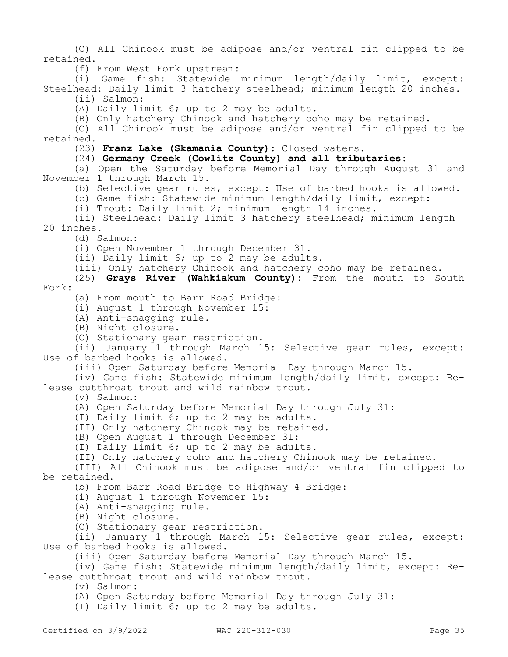(C) All Chinook must be adipose and/or ventral fin clipped to be retained.

(f) From West Fork upstream:

(i) Game fish: Statewide minimum length/daily limit, except: Steelhead: Daily limit 3 hatchery steelhead; minimum length 20 inches. (ii) Salmon:

(A) Daily limit 6; up to 2 may be adults.

(B) Only hatchery Chinook and hatchery coho may be retained.

(C) All Chinook must be adipose and/or ventral fin clipped to be retained.

(23) **Franz Lake (Skamania County):** Closed waters.

#### (24) **Germany Creek (Cowlitz County) and all tributaries:**

(a) Open the Saturday before Memorial Day through August 31 and November 1 through March 15.

(b) Selective gear rules, except: Use of barbed hooks is allowed.

(c) Game fish: Statewide minimum length/daily limit, except:

(i) Trout: Daily limit 2; minimum length 14 inches.

(ii) Steelhead: Daily limit 3 hatchery steelhead; minimum length 20 inches.

(d) Salmon:

(i) Open November 1 through December 31.

(ii) Daily limit 6; up to 2 may be adults.

(iii) Only hatchery Chinook and hatchery coho may be retained.

(25) **Grays River (Wahkiakum County):** From the mouth to South Fork:

(a) From mouth to Barr Road Bridge:

(i) August 1 through November 15:

(A) Anti-snagging rule.

(B) Night closure.

(C) Stationary gear restriction.

(ii) January 1 through March 15: Selective gear rules, except: Use of barbed hooks is allowed.

(iii) Open Saturday before Memorial Day through March 15.

(iv) Game fish: Statewide minimum length/daily limit, except: Release cutthroat trout and wild rainbow trout.

(v) Salmon:

(A) Open Saturday before Memorial Day through July 31:

(I) Daily limit 6; up to 2 may be adults.

(II) Only hatchery Chinook may be retained.

(B) Open August 1 through December 31:

(I) Daily limit 6; up to 2 may be adults.

(II) Only hatchery coho and hatchery Chinook may be retained.

(III) All Chinook must be adipose and/or ventral fin clipped to be retained.

(b) From Barr Road Bridge to Highway 4 Bridge:

(i) August 1 through November 15:

(A) Anti-snagging rule.

(B) Night closure.

(C) Stationary gear restriction.

(ii) January 1 through March 15: Selective gear rules, except: Use of barbed hooks is allowed.

(iii) Open Saturday before Memorial Day through March 15.

(iv) Game fish: Statewide minimum length/daily limit, except: Release cutthroat trout and wild rainbow trout.

(v) Salmon:

(A) Open Saturday before Memorial Day through July 31:

(I) Daily limit 6; up to 2 may be adults.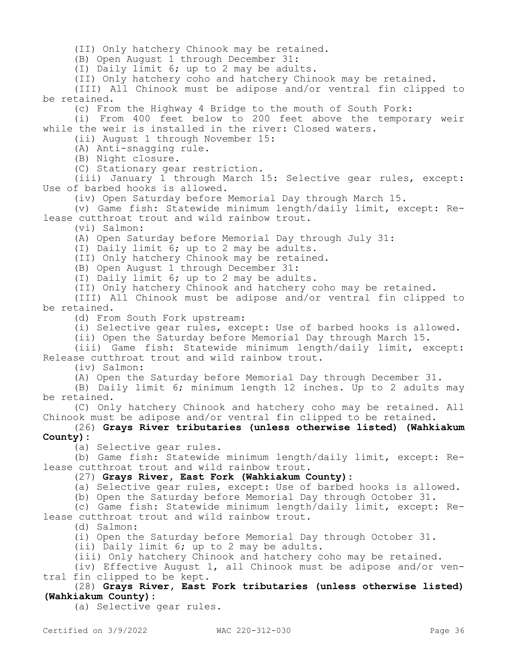(II) Only hatchery Chinook may be retained.

(B) Open August 1 through December 31:

(I) Daily limit 6; up to 2 may be adults.

(II) Only hatchery coho and hatchery Chinook may be retained.

(III) All Chinook must be adipose and/or ventral fin clipped to be retained.

(c) From the Highway 4 Bridge to the mouth of South Fork:

(i) From 400 feet below to 200 feet above the temporary weir while the weir is installed in the river: Closed waters.

(ii) August 1 through November 15:

(A) Anti-snagging rule.

(B) Night closure.

(C) Stationary gear restriction.

(iii) January 1 through March 15: Selective gear rules, except: Use of barbed hooks is allowed.

(iv) Open Saturday before Memorial Day through March 15.

(v) Game fish: Statewide minimum length/daily limit, except: Release cutthroat trout and wild rainbow trout.

(vi) Salmon:

(A) Open Saturday before Memorial Day through July 31:

(I) Daily limit 6; up to 2 may be adults.

(II) Only hatchery Chinook may be retained.

(B) Open August 1 through December 31:

(I) Daily limit 6; up to 2 may be adults.

(II) Only hatchery Chinook and hatchery coho may be retained.

(III) All Chinook must be adipose and/or ventral fin clipped to be retained.

(d) From South Fork upstream:

(i) Selective gear rules, except: Use of barbed hooks is allowed.

(ii) Open the Saturday before Memorial Day through March 15.

(iii) Game fish: Statewide minimum length/daily limit, except: Release cutthroat trout and wild rainbow trout.

(iv) Salmon:

(A) Open the Saturday before Memorial Day through December 31.

(B) Daily limit 6; minimum length 12 inches. Up to 2 adults may be retained.

(C) Only hatchery Chinook and hatchery coho may be retained. All Chinook must be adipose and/or ventral fin clipped to be retained.

#### (26) **Grays River tributaries (unless otherwise listed) (Wahkiakum County):**

(a) Selective gear rules.

(b) Game fish: Statewide minimum length/daily limit, except: Release cutthroat trout and wild rainbow trout.

## (27) **Grays River, East Fork (Wahkiakum County):**

(a) Selective gear rules, except: Use of barbed hooks is allowed.

(b) Open the Saturday before Memorial Day through October 31.

(c) Game fish: Statewide minimum length/daily limit, except: Release cutthroat trout and wild rainbow trout.

(d) Salmon:

(i) Open the Saturday before Memorial Day through October 31.

(ii) Daily limit 6; up to 2 may be adults.

(iii) Only hatchery Chinook and hatchery coho may be retained.

(iv) Effective August 1, all Chinook must be adipose and/or ventral fin clipped to be kept.

(28) **Grays River, East Fork tributaries (unless otherwise listed) (Wahkiakum County):**

(a) Selective gear rules.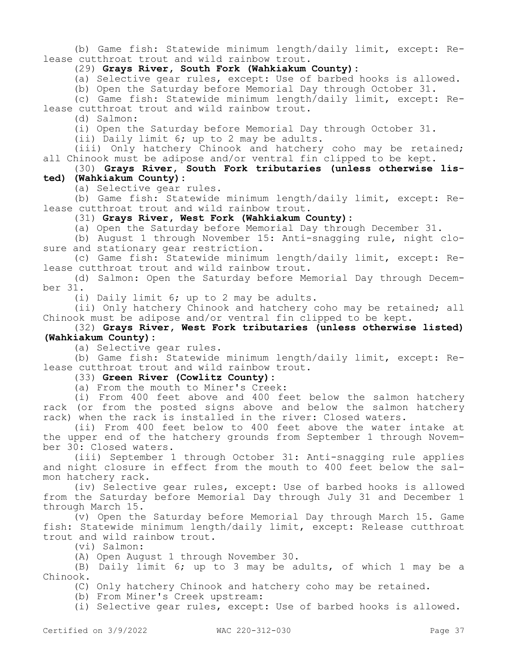(b) Game fish: Statewide minimum length/daily limit, except: Release cutthroat trout and wild rainbow trout.

# (29) **Grays River, South Fork (Wahkiakum County):**

(a) Selective gear rules, except: Use of barbed hooks is allowed.

(b) Open the Saturday before Memorial Day through October 31.

(c) Game fish: Statewide minimum length/daily limit, except: Release cutthroat trout and wild rainbow trout.

(d) Salmon:

(i) Open the Saturday before Memorial Day through October 31.

(ii) Daily limit 6; up to 2 may be adults.

(iii) Only hatchery Chinook and hatchery coho may be retained; all Chinook must be adipose and/or ventral fin clipped to be kept.

(30) **Grays River, South Fork tributaries (unless otherwise listed) (Wahkiakum County):**

(a) Selective gear rules.

(b) Game fish: Statewide minimum length/daily limit, except: Release cutthroat trout and wild rainbow trout.

(31) **Grays River, West Fork (Wahkiakum County):**

(a) Open the Saturday before Memorial Day through December 31.

(b) August 1 through November 15: Anti-snagging rule, night closure and stationary gear restriction.

(c) Game fish: Statewide minimum length/daily limit, except: Release cutthroat trout and wild rainbow trout.

(d) Salmon: Open the Saturday before Memorial Day through December 31.

(i) Daily limit 6; up to 2 may be adults.

(ii) Only hatchery Chinook and hatchery coho may be retained; all Chinook must be adipose and/or ventral fin clipped to be kept.

## (32) **Grays River, West Fork tributaries (unless otherwise listed) (Wahkiakum County):**

(a) Selective gear rules.

(b) Game fish: Statewide minimum length/daily limit, except: Release cutthroat trout and wild rainbow trout.

(33) **Green River (Cowlitz County):**

(a) From the mouth to Miner's Creek:

(i) From 400 feet above and 400 feet below the salmon hatchery rack (or from the posted signs above and below the salmon hatchery rack) when the rack is installed in the river: Closed waters.

(ii) From 400 feet below to 400 feet above the water intake at the upper end of the hatchery grounds from September 1 through November 30: Closed waters.

(iii) September 1 through October 31: Anti-snagging rule applies and night closure in effect from the mouth to 400 feet below the salmon hatchery rack.

(iv) Selective gear rules, except: Use of barbed hooks is allowed from the Saturday before Memorial Day through July 31 and December 1 through March 15.

(v) Open the Saturday before Memorial Day through March 15. Game fish: Statewide minimum length/daily limit, except: Release cutthroat trout and wild rainbow trout.

(vi) Salmon:

(A) Open August 1 through November 30.

(B) Daily limit 6; up to 3 may be adults, of which 1 may be a Chinook.

(C) Only hatchery Chinook and hatchery coho may be retained.

(b) From Miner's Creek upstream:

(i) Selective gear rules, except: Use of barbed hooks is allowed.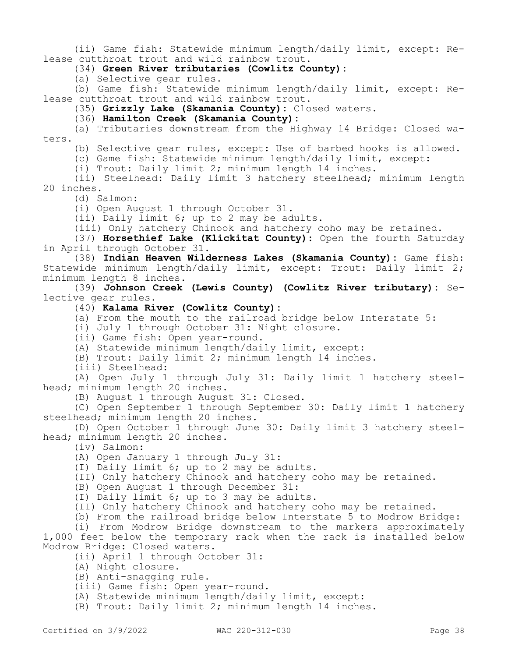(ii) Game fish: Statewide minimum length/daily limit, except: Release cutthroat trout and wild rainbow trout.

(34) **Green River tributaries (Cowlitz County):**

(a) Selective gear rules.

(b) Game fish: Statewide minimum length/daily limit, except: Release cutthroat trout and wild rainbow trout.

(35) **Grizzly Lake (Skamania County):** Closed waters.

(36) **Hamilton Creek (Skamania County):**

(a) Tributaries downstream from the Highway 14 Bridge: Closed waters.

(b) Selective gear rules, except: Use of barbed hooks is allowed.

(c) Game fish: Statewide minimum length/daily limit, except:

(i) Trout: Daily limit 2; minimum length 14 inches.

(ii) Steelhead: Daily limit 3 hatchery steelhead; minimum length 20 inches.

(d) Salmon:

(i) Open August 1 through October 31.

(ii) Daily limit 6; up to 2 may be adults.

(iii) Only hatchery Chinook and hatchery coho may be retained.

(37) **Horsethief Lake (Klickitat County):** Open the fourth Saturday in April through October 31.

(38) **Indian Heaven Wilderness Lakes (Skamania County):** Game fish: Statewide minimum length/daily limit, except: Trout: Daily limit 2; minimum length 8 inches.

(39) **Johnson Creek (Lewis County) (Cowlitz River tributary):** Selective gear rules.

(40) **Kalama River (Cowlitz County):**

(a) From the mouth to the railroad bridge below Interstate 5:

(i) July 1 through October 31: Night closure.

(ii) Game fish: Open year-round.

(A) Statewide minimum length/daily limit, except:

(B) Trout: Daily limit 2; minimum length 14 inches.

(iii) Steelhead:

(A) Open July 1 through July 31: Daily limit 1 hatchery steelhead; minimum length 20 inches.

(B) August 1 through August 31: Closed.

(C) Open September 1 through September 30: Daily limit 1 hatchery steelhead; minimum length 20 inches.

(D) Open October 1 through June 30: Daily limit 3 hatchery steelhead; minimum length 20 inches.

(iv) Salmon:

(A) Open January 1 through July 31:

(I) Daily limit 6; up to 2 may be adults.

(II) Only hatchery Chinook and hatchery coho may be retained.

(B) Open August 1 through December 31:

(I) Daily limit 6; up to 3 may be adults.

(II) Only hatchery Chinook and hatchery coho may be retained.

(b) From the railroad bridge below Interstate 5 to Modrow Bridge:

(i) From Modrow Bridge downstream to the markers approximately 1,000 feet below the temporary rack when the rack is installed below Modrow Bridge: Closed waters.

(ii) April 1 through October 31:

(A) Night closure.

(B) Anti-snagging rule.

(iii) Game fish: Open year-round.

(A) Statewide minimum length/daily limit, except:

(B) Trout: Daily limit 2; minimum length 14 inches.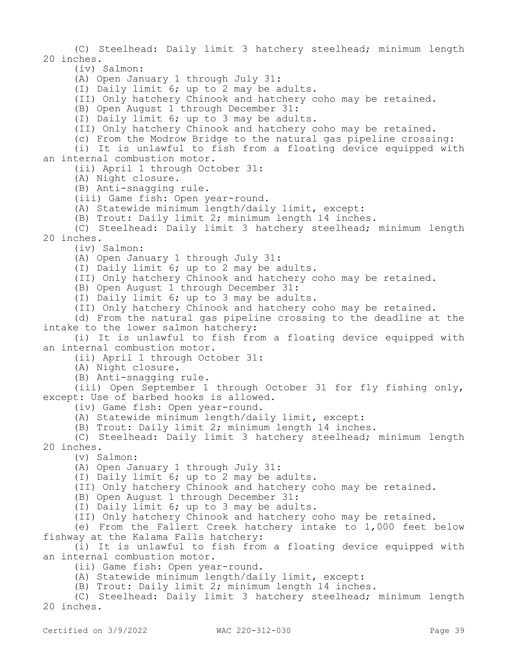(C) Steelhead: Daily limit 3 hatchery steelhead; minimum length 20 inches.

(iv) Salmon:

(A) Open January 1 through July 31:

(I) Daily limit 6; up to 2 may be adults.

(II) Only hatchery Chinook and hatchery coho may be retained.

(B) Open August 1 through December 31:

(I) Daily limit 6; up to 3 may be adults.

(II) Only hatchery Chinook and hatchery coho may be retained.

(c) From the Modrow Bridge to the natural gas pipeline crossing:

(i) It is unlawful to fish from a floating device equipped with an internal combustion motor.

(ii) April 1 through October 31:

(A) Night closure.

(B) Anti-snagging rule.

(iii) Game fish: Open year-round.

(A) Statewide minimum length/daily limit, except:

(B) Trout: Daily limit 2; minimum length 14 inches.

(C) Steelhead: Daily limit 3 hatchery steelhead; minimum length 20 inches.

(iv) Salmon:

(A) Open January 1 through July 31:

(I) Daily limit 6; up to 2 may be adults.

(II) Only hatchery Chinook and hatchery coho may be retained.

(B) Open August 1 through December 31:

(I) Daily limit 6; up to 3 may be adults.

(II) Only hatchery Chinook and hatchery coho may be retained.

(d) From the natural gas pipeline crossing to the deadline at the intake to the lower salmon hatchery:

(i) It is unlawful to fish from a floating device equipped with an internal combustion motor.

(ii) April 1 through October 31:

(A) Night closure.

(B) Anti-snagging rule.

(iii) Open September 1 through October 31 for fly fishing only, except: Use of barbed hooks is allowed.

(iv) Game fish: Open year-round.

(A) Statewide minimum length/daily limit, except:

(B) Trout: Daily limit 2; minimum length 14 inches.

(C) Steelhead: Daily limit 3 hatchery steelhead; minimum length 20 inches.

(v) Salmon:

(A) Open January 1 through July 31:

(I) Daily limit 6; up to 2 may be adults.

(II) Only hatchery Chinook and hatchery coho may be retained.

(B) Open August 1 through December 31:

(I) Daily limit 6; up to 3 may be adults.

(II) Only hatchery Chinook and hatchery coho may be retained.

(e) From the Fallert Creek hatchery intake to 1,000 feet below fishway at the Kalama Falls hatchery:

(i) It is unlawful to fish from a floating device equipped with an internal combustion motor.

(ii) Game fish: Open year-round.

(A) Statewide minimum length/daily limit, except:

(B) Trout: Daily limit 2; minimum length 14 inches.

(C) Steelhead: Daily limit 3 hatchery steelhead; minimum length 20 inches.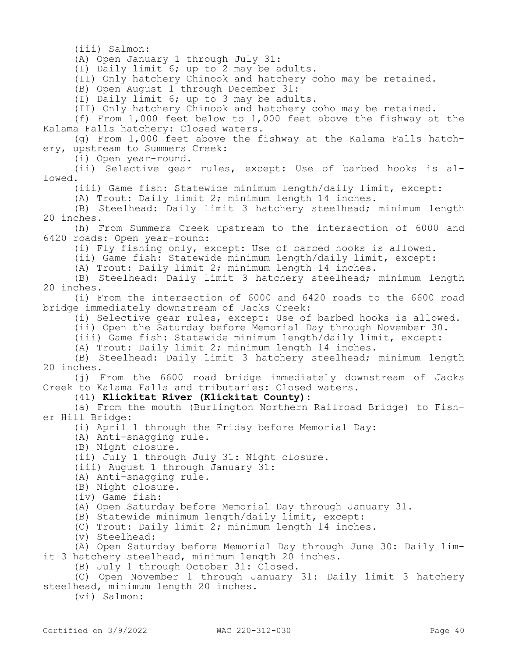(iii) Salmon:

(A) Open January 1 through July 31:

(I) Daily limit 6; up to 2 may be adults.

(II) Only hatchery Chinook and hatchery coho may be retained.

(B) Open August 1 through December 31:

(I) Daily limit 6; up to 3 may be adults.

(II) Only hatchery Chinook and hatchery coho may be retained.

(f) From 1,000 feet below to 1,000 feet above the fishway at the Kalama Falls hatchery: Closed waters.

(g) From 1,000 feet above the fishway at the Kalama Falls hatchery, upstream to Summers Creek:

(i) Open year-round.

(ii) Selective gear rules, except: Use of barbed hooks is allowed.

(iii) Game fish: Statewide minimum length/daily limit, except:

(A) Trout: Daily limit 2; minimum length 14 inches.

(B) Steelhead: Daily limit 3 hatchery steelhead; minimum length 20 inches.

(h) From Summers Creek upstream to the intersection of 6000 and 6420 roads: Open year-round:

(i) Fly fishing only, except: Use of barbed hooks is allowed.

(ii) Game fish: Statewide minimum length/daily limit, except:

(A) Trout: Daily limit 2; minimum length 14 inches.

(B) Steelhead: Daily limit 3 hatchery steelhead; minimum length 20 inches.

(i) From the intersection of 6000 and 6420 roads to the 6600 road bridge immediately downstream of Jacks Creek:

(i) Selective gear rules, except: Use of barbed hooks is allowed.

(ii) Open the Saturday before Memorial Day through November 30.

(iii) Game fish: Statewide minimum length/daily limit, except:

(A) Trout: Daily limit 2; minimum length 14 inches.

(B) Steelhead: Daily limit 3 hatchery steelhead; minimum length 20 inches.

(j) From the 6600 road bridge immediately downstream of Jacks Creek to Kalama Falls and tributaries: Closed waters.

(41) **Klickitat River (Klickitat County):**

(a) From the mouth (Burlington Northern Railroad Bridge) to Fisher Hill Bridge:

(i) April 1 through the Friday before Memorial Day:

(A) Anti-snagging rule.

(B) Night closure.

(ii) July 1 through July 31: Night closure.

(iii) August 1 through January 31:

(A) Anti-snagging rule.

(B) Night closure.

(iv) Game fish:

(A) Open Saturday before Memorial Day through January 31.

(B) Statewide minimum length/daily limit, except:

(C) Trout: Daily limit 2; minimum length 14 inches.

(v) Steelhead:

(A) Open Saturday before Memorial Day through June 30: Daily limit 3 hatchery steelhead, minimum length 20 inches.

(B) July 1 through October 31: Closed.

(C) Open November 1 through January 31: Daily limit 3 hatchery steelhead, minimum length 20 inches.

(vi) Salmon: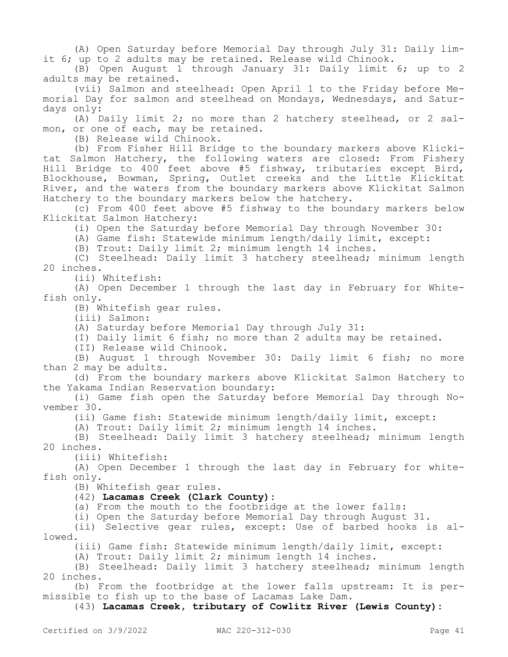(A) Open Saturday before Memorial Day through July 31: Daily limit 6; up to 2 adults may be retained. Release wild Chinook.

(B) Open August 1 through January 31: Daily limit 6; up to 2 adults may be retained.

(vii) Salmon and steelhead: Open April 1 to the Friday before Memorial Day for salmon and steelhead on Mondays, Wednesdays, and Saturdays only:

(A) Daily limit 2; no more than 2 hatchery steelhead, or 2 salmon, or one of each, may be retained.

(B) Release wild Chinook.

(b) From Fisher Hill Bridge to the boundary markers above Klickitat Salmon Hatchery, the following waters are closed: From Fishery Hill Bridge to 400 feet above #5 fishway, tributaries except Bird, Blockhouse, Bowman, Spring, Outlet creeks and the Little Klickitat River, and the waters from the boundary markers above Klickitat Salmon Hatchery to the boundary markers below the hatchery.

(c) From 400 feet above #5 fishway to the boundary markers below Klickitat Salmon Hatchery:

(i) Open the Saturday before Memorial Day through November 30:

(A) Game fish: Statewide minimum length/daily limit, except:

(B) Trout: Daily limit 2; minimum length 14 inches.

(C) Steelhead: Daily limit 3 hatchery steelhead; minimum length 20 inches.

(ii) Whitefish:

(A) Open December 1 through the last day in February for Whitefish only.

(B) Whitefish gear rules.

(iii) Salmon:

(A) Saturday before Memorial Day through July 31:

(I) Daily limit 6 fish; no more than 2 adults may be retained.

(II) Release wild Chinook.

(B) August 1 through November 30: Daily limit 6 fish; no more than 2 may be adults.

(d) From the boundary markers above Klickitat Salmon Hatchery to the Yakama Indian Reservation boundary:

(i) Game fish open the Saturday before Memorial Day through November 30.

(ii) Game fish: Statewide minimum length/daily limit, except:

(A) Trout: Daily limit 2; minimum length 14 inches.

(B) Steelhead: Daily limit 3 hatchery steelhead; minimum length 20 inches.

(iii) Whitefish:

(A) Open December 1 through the last day in February for whitefish only.

(B) Whitefish gear rules.

## (42) **Lacamas Creek (Clark County):**

(a) From the mouth to the footbridge at the lower falls:

(i) Open the Saturday before Memorial Day through August 31.

(ii) Selective gear rules, except: Use of barbed hooks is allowed.

(iii) Game fish: Statewide minimum length/daily limit, except:

(A) Trout: Daily limit 2; minimum length 14 inches.

(B) Steelhead: Daily limit 3 hatchery steelhead; minimum length 20 inches.

(b) From the footbridge at the lower falls upstream: It is permissible to fish up to the base of Lacamas Lake Dam.

(43) **Lacamas Creek, tributary of Cowlitz River (Lewis County):**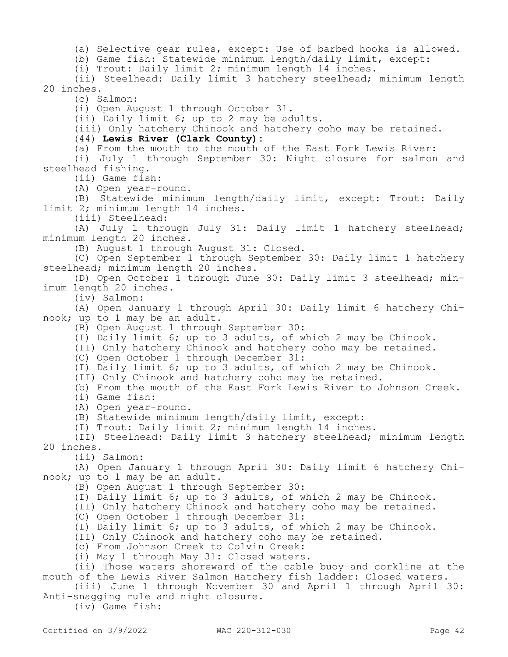(a) Selective gear rules, except: Use of barbed hooks is allowed.

(b) Game fish: Statewide minimum length/daily limit, except:

(i) Trout: Daily limit 2; minimum length 14 inches.

(ii) Steelhead: Daily limit 3 hatchery steelhead; minimum length 20 inches.

(c) Salmon:

(i) Open August 1 through October 31.

(ii) Daily limit 6; up to 2 may be adults.

(iii) Only hatchery Chinook and hatchery coho may be retained.

(44) **Lewis River (Clark County):**

(a) From the mouth to the mouth of the East Fork Lewis River:

(i) July 1 through September 30: Night closure for salmon and steelhead fishing.

(ii) Game fish:

(A) Open year-round.

(B) Statewide minimum length/daily limit, except: Trout: Daily limit 2; minimum length 14 inches.

(iii) Steelhead:

(A) July 1 through July 31: Daily limit 1 hatchery steelhead; minimum length 20 inches.

(B) August 1 through August 31: Closed.

(C) Open September 1 through September 30: Daily limit 1 hatchery steelhead; minimum length 20 inches.

(D) Open October 1 through June 30: Daily limit 3 steelhead; minimum length 20 inches.

(iv) Salmon:

(A) Open January 1 through April 30: Daily limit 6 hatchery Chinook; up to 1 may be an adult.

(B) Open August 1 through September 30:

(I) Daily limit 6; up to 3 adults, of which 2 may be Chinook.

(II) Only hatchery Chinook and hatchery coho may be retained.

(C) Open October 1 through December 31:

(I) Daily limit 6; up to 3 adults, of which 2 may be Chinook.

(II) Only Chinook and hatchery coho may be retained.

(b) From the mouth of the East Fork Lewis River to Johnson Creek.

(i) Game fish:

(A) Open year-round.

(B) Statewide minimum length/daily limit, except:

(I) Trout: Daily limit 2; minimum length 14 inches.

(II) Steelhead: Daily limit 3 hatchery steelhead; minimum length 20 inches.

(ii) Salmon:

(A) Open January 1 through April 30: Daily limit 6 hatchery Chinook; up to 1 may be an adult.

(B) Open August 1 through September 30:

(I) Daily limit 6; up to 3 adults, of which 2 may be Chinook.

(II) Only hatchery Chinook and hatchery coho may be retained.

(C) Open October 1 through December 31:

(I) Daily limit 6; up to 3 adults, of which 2 may be Chinook.

(II) Only Chinook and hatchery coho may be retained.

(c) From Johnson Creek to Colvin Creek:

(i) May 1 through May 31: Closed waters.

(ii) Those waters shoreward of the cable buoy and corkline at the mouth of the Lewis River Salmon Hatchery fish ladder: Closed waters.

(iii) June 1 through November 30 and April 1 through April 30: Anti-snagging rule and night closure.

(iv) Game fish: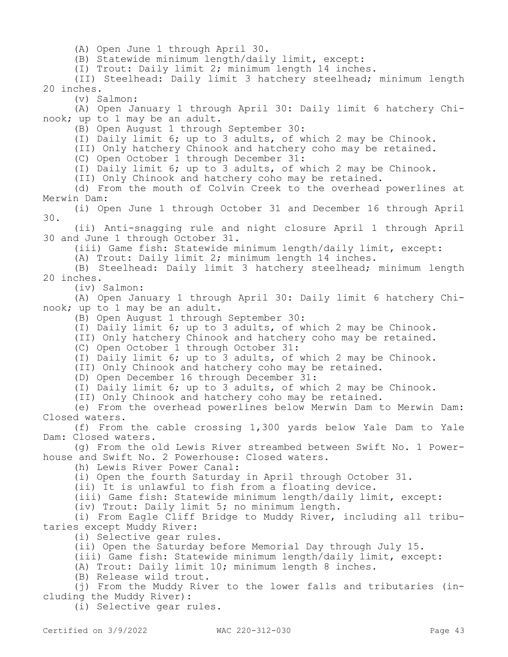(A) Open June 1 through April 30.

(B) Statewide minimum length/daily limit, except:

(I) Trout: Daily limit 2; minimum length 14 inches.

(II) Steelhead: Daily limit 3 hatchery steelhead; minimum length 20 inches.

(v) Salmon:

(A) Open January 1 through April 30: Daily limit 6 hatchery Chinook; up to 1 may be an adult.

(B) Open August 1 through September 30:

(I) Daily limit 6; up to 3 adults, of which 2 may be Chinook.

(II) Only hatchery Chinook and hatchery coho may be retained.

(C) Open October 1 through December 31:

(I) Daily limit 6; up to 3 adults, of which 2 may be Chinook.

(II) Only Chinook and hatchery coho may be retained.

(d) From the mouth of Colvin Creek to the overhead powerlines at Merwin Dam:

(i) Open June 1 through October 31 and December 16 through April 30.

(ii) Anti-snagging rule and night closure April 1 through April 30 and June 1 through October 31.

(iii) Game fish: Statewide minimum length/daily limit, except:

(A) Trout: Daily limit 2; minimum length 14 inches.

(B) Steelhead: Daily limit 3 hatchery steelhead; minimum length 20 inches.

(iv) Salmon:

(A) Open January 1 through April 30: Daily limit 6 hatchery Chinook; up to 1 may be an adult.

(B) Open August 1 through September 30:

(I) Daily limit 6; up to 3 adults, of which 2 may be Chinook.

(II) Only hatchery Chinook and hatchery coho may be retained.

(C) Open October 1 through October 31:

(I) Daily limit 6; up to 3 adults, of which 2 may be Chinook.

(II) Only Chinook and hatchery coho may be retained.

(D) Open December 16 through December 31:

(I) Daily limit 6; up to 3 adults, of which 2 may be Chinook.

(II) Only Chinook and hatchery coho may be retained.

(e) From the overhead powerlines below Merwin Dam to Merwin Dam: Closed waters.

(f) From the cable crossing 1,300 yards below Yale Dam to Yale Dam: Closed waters.

(g) From the old Lewis River streambed between Swift No. 1 Powerhouse and Swift No. 2 Powerhouse: Closed waters.

(h) Lewis River Power Canal:

(i) Open the fourth Saturday in April through October 31.

(ii) It is unlawful to fish from a floating device.

(iii) Game fish: Statewide minimum length/daily limit, except:

(iv) Trout: Daily limit 5; no minimum length.

(i) From Eagle Cliff Bridge to Muddy River, including all tributaries except Muddy River:

(i) Selective gear rules.

(ii) Open the Saturday before Memorial Day through July 15.

(iii) Game fish: Statewide minimum length/daily limit, except:

(A) Trout: Daily limit 10; minimum length 8 inches.

(B) Release wild trout.

(j) From the Muddy River to the lower falls and tributaries (including the Muddy River):

(i) Selective gear rules.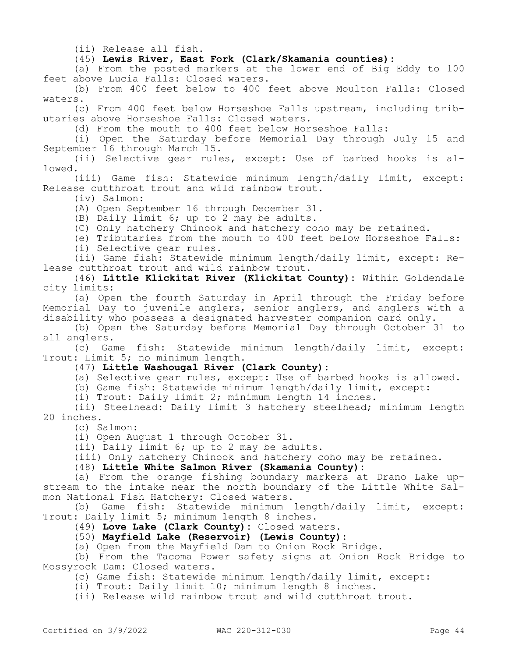(ii) Release all fish.

(45) **Lewis River, East Fork (Clark/Skamania counties):**

(a) From the posted markers at the lower end of Big Eddy to 100 feet above Lucia Falls: Closed waters.

(b) From 400 feet below to 400 feet above Moulton Falls: Closed waters.

(c) From 400 feet below Horseshoe Falls upstream, including tributaries above Horseshoe Falls: Closed waters.

(d) From the mouth to 400 feet below Horseshoe Falls:

(i) Open the Saturday before Memorial Day through July 15 and September 16 through March 15.

(ii) Selective gear rules, except: Use of barbed hooks is allowed.

(iii) Game fish: Statewide minimum length/daily limit, except: Release cutthroat trout and wild rainbow trout.

(iv) Salmon:

(A) Open September 16 through December 31.

(B) Daily limit 6; up to 2 may be adults.

(C) Only hatchery Chinook and hatchery coho may be retained.

(e) Tributaries from the mouth to 400 feet below Horseshoe Falls:

(i) Selective gear rules.

(ii) Game fish: Statewide minimum length/daily limit, except: Release cutthroat trout and wild rainbow trout.

(46) **Little Klickitat River (Klickitat County):** Within Goldendale city limits:

(a) Open the fourth Saturday in April through the Friday before Memorial Day to juvenile anglers, senior anglers, and anglers with a disability who possess a designated harvester companion card only.

(b) Open the Saturday before Memorial Day through October 31 to all anglers.

(c) Game fish: Statewide minimum length/daily limit, except: Trout: Limit 5; no minimum length.

# (47) **Little Washougal River (Clark County):**

(a) Selective gear rules, except: Use of barbed hooks is allowed.

(b) Game fish: Statewide minimum length/daily limit, except:

(i) Trout: Daily limit 2; minimum length 14 inches.

(ii) Steelhead: Daily limit 3 hatchery steelhead; minimum length 20 inches.

(c) Salmon:

(i) Open August 1 through October 31.

(ii) Daily limit 6; up to 2 may be adults.

(iii) Only hatchery Chinook and hatchery coho may be retained.

(48) **Little White Salmon River (Skamania County):**

(a) From the orange fishing boundary markers at Drano Lake upstream to the intake near the north boundary of the Little White Salmon National Fish Hatchery: Closed waters.

(b) Game fish: Statewide minimum length/daily limit, except: Trout: Daily limit 5; minimum length 8 inches.

(49) **Love Lake (Clark County):** Closed waters.

(50) **Mayfield Lake (Reservoir) (Lewis County):**

(a) Open from the Mayfield Dam to Onion Rock Bridge.

(b) From the Tacoma Power safety signs at Onion Rock Bridge to Mossyrock Dam: Closed waters.

(c) Game fish: Statewide minimum length/daily limit, except:

(i) Trout: Daily limit 10; minimum length 8 inches.

(ii) Release wild rainbow trout and wild cutthroat trout.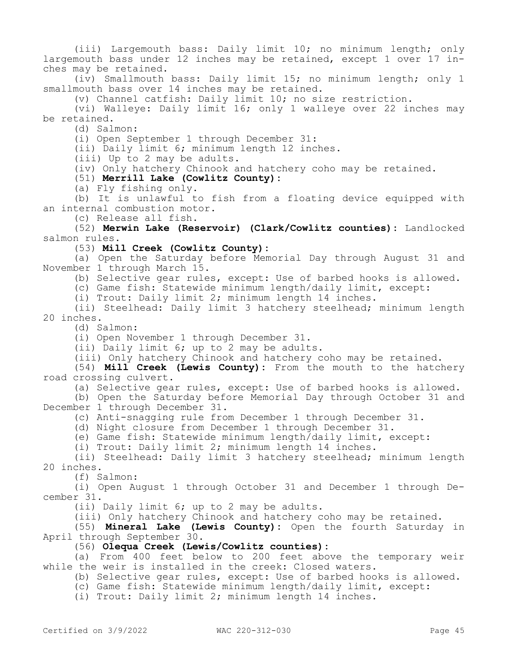(iii) Largemouth bass: Daily limit 10; no minimum length; only largemouth bass under 12 inches may be retained, except 1 over 17 inches may be retained.

(iv) Smallmouth bass: Daily limit 15; no minimum length; only 1 smallmouth bass over 14 inches may be retained.

(v) Channel catfish: Daily limit 10; no size restriction.

(vi) Walleye: Daily limit 16; only 1 walleye over 22 inches may be retained.

(d) Salmon:

(i) Open September 1 through December 31:

(ii) Daily limit 6; minimum length 12 inches.

(iii) Up to 2 may be adults.

(iv) Only hatchery Chinook and hatchery coho may be retained.

(51) **Merrill Lake (Cowlitz County):**

(a) Fly fishing only.

(b) It is unlawful to fish from a floating device equipped with an internal combustion motor.

(c) Release all fish.

(52) **Merwin Lake (Reservoir) (Clark/Cowlitz counties):** Landlocked salmon rules.

(53) **Mill Creek (Cowlitz County):**

(a) Open the Saturday before Memorial Day through August 31 and November 1 through March 15.

(b) Selective gear rules, except: Use of barbed hooks is allowed.

(c) Game fish: Statewide minimum length/daily limit, except:

(i) Trout: Daily limit 2; minimum length 14 inches.

(ii) Steelhead: Daily limit 3 hatchery steelhead; minimum length 20 inches.

(d) Salmon:

(i) Open November 1 through December 31.

(ii) Daily limit 6; up to 2 may be adults.

(iii) Only hatchery Chinook and hatchery coho may be retained.

(54) **Mill Creek (Lewis County):** From the mouth to the hatchery road crossing culvert.

(a) Selective gear rules, except: Use of barbed hooks is allowed.

(b) Open the Saturday before Memorial Day through October 31 and December 1 through December 31.

(c) Anti-snagging rule from December 1 through December 31.

(d) Night closure from December 1 through December 31.

(e) Game fish: Statewide minimum length/daily limit, except:

(i) Trout: Daily limit 2; minimum length 14 inches.

(ii) Steelhead: Daily limit 3 hatchery steelhead; minimum length 20 inches.

(f) Salmon:

(i) Open August 1 through October 31 and December 1 through December 31.

(ii) Daily limit 6; up to 2 may be adults.

(iii) Only hatchery Chinook and hatchery coho may be retained.

(55) **Mineral Lake (Lewis County):** Open the fourth Saturday in April through September 30.

(56) **Olequa Creek (Lewis/Cowlitz counties):**

(a) From 400 feet below to 200 feet above the temporary weir while the weir is installed in the creek: Closed waters.

(b) Selective gear rules, except: Use of barbed hooks is allowed.

(c) Game fish: Statewide minimum length/daily limit, except:

(i) Trout: Daily limit 2; minimum length 14 inches.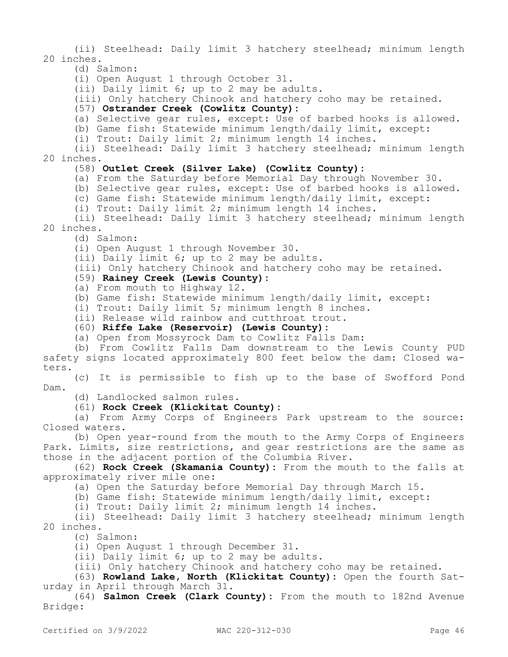(ii) Steelhead: Daily limit 3 hatchery steelhead; minimum length 20 inches.

(d) Salmon:

(i) Open August 1 through October 31.

(ii) Daily limit 6; up to 2 may be adults.

(iii) Only hatchery Chinook and hatchery coho may be retained.

#### (57) **Ostrander Creek (Cowlitz County):**

(a) Selective gear rules, except: Use of barbed hooks is allowed.

(b) Game fish: Statewide minimum length/daily limit, except:

(i) Trout: Daily limit 2; minimum length 14 inches.

(ii) Steelhead: Daily limit 3 hatchery steelhead; minimum length 20 inches.

## (58) **Outlet Creek (Silver Lake) (Cowlitz County):**

(a) From the Saturday before Memorial Day through November 30.

(b) Selective gear rules, except: Use of barbed hooks is allowed.

(c) Game fish: Statewide minimum length/daily limit, except:

(i) Trout: Daily limit 2; minimum length 14 inches.

(ii) Steelhead: Daily limit 3 hatchery steelhead; minimum length 20 inches.

(d) Salmon:

(i) Open August 1 through November 30.

(ii) Daily limit 6; up to 2 may be adults.

(iii) Only hatchery Chinook and hatchery coho may be retained.

## (59) **Rainey Creek (Lewis County):**

(a) From mouth to Highway 12.

(b) Game fish: Statewide minimum length/daily limit, except:

(i) Trout: Daily limit 5; minimum length 8 inches.

(ii) Release wild rainbow and cutthroat trout.

(60) **Riffe Lake (Reservoir) (Lewis County):**

(a) Open from Mossyrock Dam to Cowlitz Falls Dam:

(b) From Cowlitz Falls Dam downstream to the Lewis County PUD safety signs located approximately 800 feet below the dam: Closed waters.

(c) It is permissible to fish up to the base of Swofford Pond Dam.

(d) Landlocked salmon rules.

(61) **Rock Creek (Klickitat County):**

(a) From Army Corps of Engineers Park upstream to the source: Closed waters.

(b) Open year-round from the mouth to the Army Corps of Engineers Park. Limits, size restrictions, and gear restrictions are the same as those in the adjacent portion of the Columbia River.

(62) **Rock Creek (Skamania County):** From the mouth to the falls at approximately river mile one:

(a) Open the Saturday before Memorial Day through March 15.

(b) Game fish: Statewide minimum length/daily limit, except:

(i) Trout: Daily limit 2; minimum length 14 inches.

(ii) Steelhead: Daily limit 3 hatchery steelhead; minimum length 20 inches.

(c) Salmon:

(i) Open August 1 through December 31.

(ii) Daily limit 6; up to 2 may be adults.

(iii) Only hatchery Chinook and hatchery coho may be retained.

(63) **Rowland Lake, North (Klickitat County):** Open the fourth Saturday in April through March 31.

(64) **Salmon Creek (Clark County):** From the mouth to 182nd Avenue Bridge: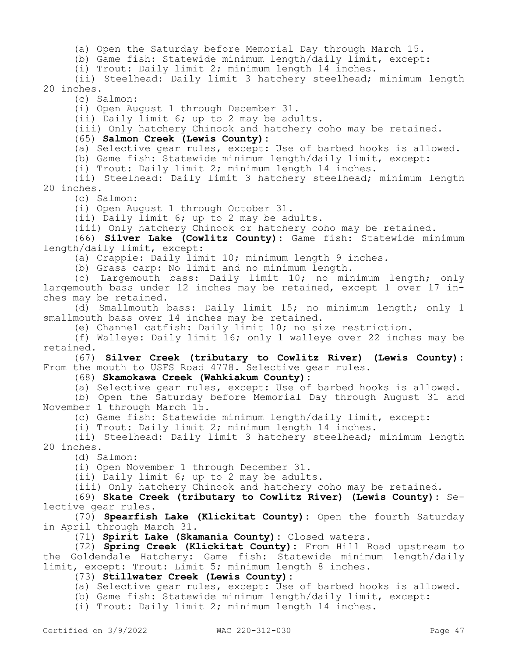(a) Open the Saturday before Memorial Day through March 15.

(b) Game fish: Statewide minimum length/daily limit, except:

(i) Trout: Daily limit 2; minimum length 14 inches.

(ii) Steelhead: Daily limit 3 hatchery steelhead; minimum length 20 inches.

(c) Salmon:

(i) Open August 1 through December 31.

(ii) Daily limit 6; up to 2 may be adults.

(iii) Only hatchery Chinook and hatchery coho may be retained.

(65) **Salmon Creek (Lewis County):**

(a) Selective gear rules, except: Use of barbed hooks is allowed.

(b) Game fish: Statewide minimum length/daily limit, except:

(i) Trout: Daily limit 2; minimum length 14 inches.

(ii) Steelhead: Daily limit 3 hatchery steelhead; minimum length 20 inches.

(c) Salmon:

(i) Open August 1 through October 31.

(ii) Daily limit 6; up to 2 may be adults.

(iii) Only hatchery Chinook or hatchery coho may be retained.

(66) **Silver Lake (Cowlitz County):** Game fish: Statewide minimum length/daily limit, except:

(a) Crappie: Daily limit 10; minimum length 9 inches.

(b) Grass carp: No limit and no minimum length.

(c) Largemouth bass: Daily limit 10; no minimum length; only largemouth bass under 12 inches may be retained, except 1 over 17 inches may be retained.

(d) Smallmouth bass: Daily limit 15; no minimum length; only 1 smallmouth bass over 14 inches may be retained.

(e) Channel catfish: Daily limit 10; no size restriction.

(f) Walleye: Daily limit 16; only 1 walleye over 22 inches may be retained.

(67) **Silver Creek (tributary to Cowlitz River) (Lewis County):**  From the mouth to USFS Road 4778. Selective gear rules.

(68) **Skamokawa Creek (Wahkiakum County):**

(a) Selective gear rules, except: Use of barbed hooks is allowed.

(b) Open the Saturday before Memorial Day through August 31 and November 1 through March 15.

(c) Game fish: Statewide minimum length/daily limit, except:

(i) Trout: Daily limit 2; minimum length 14 inches.

(ii) Steelhead: Daily limit 3 hatchery steelhead; minimum length 20 inches.

(d) Salmon:

(i) Open November 1 through December 31.

(ii) Daily limit 6; up to 2 may be adults.

(iii) Only hatchery Chinook and hatchery coho may be retained.

(69) **Skate Creek (tributary to Cowlitz River) (Lewis County):** Selective gear rules.

(70) **Spearfish Lake (Klickitat County):** Open the fourth Saturday in April through March 31.

(71) **Spirit Lake (Skamania County):** Closed waters.

(72) **Spring Creek (Klickitat County):** From Hill Road upstream to the Goldendale Hatchery: Game fish: Statewide minimum length/daily limit, except: Trout: Limit 5; minimum length 8 inches.

(73) **Stillwater Creek (Lewis County):**

(a) Selective gear rules, except: Use of barbed hooks is allowed.

(b) Game fish: Statewide minimum length/daily limit, except:

(i) Trout: Daily limit 2; minimum length 14 inches.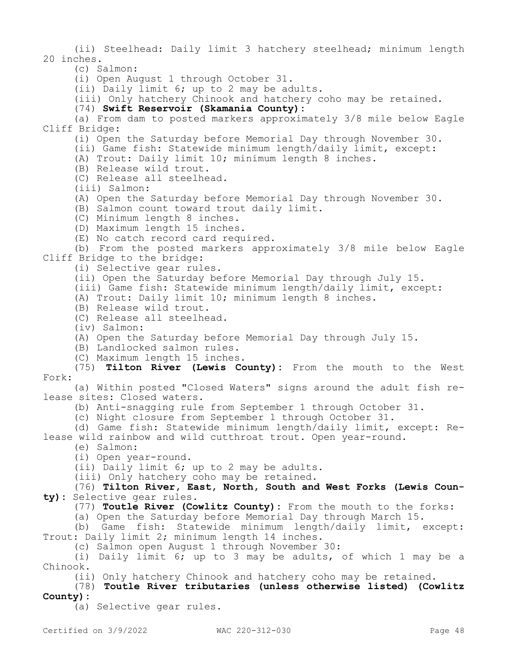(ii) Steelhead: Daily limit 3 hatchery steelhead; minimum length 20 inches.

(c) Salmon:

(i) Open August 1 through October 31.

(ii) Daily limit 6; up to 2 may be adults.

(iii) Only hatchery Chinook and hatchery coho may be retained.

(74) **Swift Reservoir (Skamania County):**

(a) From dam to posted markers approximately 3/8 mile below Eagle Cliff Bridge:

(i) Open the Saturday before Memorial Day through November 30.

(ii) Game fish: Statewide minimum length/daily limit, except:

(A) Trout: Daily limit 10; minimum length 8 inches.

(B) Release wild trout.

(C) Release all steelhead.

(iii) Salmon:

(A) Open the Saturday before Memorial Day through November 30.

(B) Salmon count toward trout daily limit.

(C) Minimum length 8 inches.

(D) Maximum length 15 inches.

(E) No catch record card required.

(b) From the posted markers approximately 3/8 mile below Eagle Cliff Bridge to the bridge:

(i) Selective gear rules.

(ii) Open the Saturday before Memorial Day through July 15.

(iii) Game fish: Statewide minimum length/daily limit, except:

(A) Trout: Daily limit 10; minimum length 8 inches.

(B) Release wild trout.

(C) Release all steelhead.

(iv) Salmon:

(A) Open the Saturday before Memorial Day through July 15.

(B) Landlocked salmon rules.

(C) Maximum length 15 inches.

(75) **Tilton River (Lewis County):** From the mouth to the West Fork:

(a) Within posted "Closed Waters" signs around the adult fish release sites: Closed waters.

(b) Anti-snagging rule from September 1 through October 31.

(c) Night closure from September 1 through October 31.

(d) Game fish: Statewide minimum length/daily limit, except: Release wild rainbow and wild cutthroat trout. Open year-round.

(e) Salmon:

(i) Open year-round.

(ii) Daily limit 6; up to 2 may be adults.

(iii) Only hatchery coho may be retained.

(76) **Tilton River, East, North, South and West Forks (Lewis County):** Selective gear rules.

(77) **Toutle River (Cowlitz County):** From the mouth to the forks:

(a) Open the Saturday before Memorial Day through March 15.

(b) Game fish: Statewide minimum length/daily limit, except: Trout: Daily limit 2; minimum length 14 inches.

(c) Salmon open August 1 through November 30:

(i) Daily limit 6; up to 3 may be adults, of which 1 may be a Chinook.

(ii) Only hatchery Chinook and hatchery coho may be retained.

(78) **Toutle River tributaries (unless otherwise listed) (Cowlitz County):**

(a) Selective gear rules.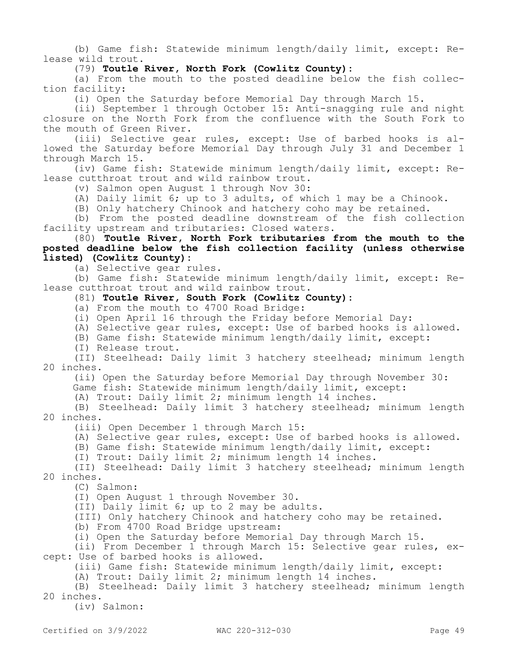(b) Game fish: Statewide minimum length/daily limit, except: Release wild trout.

## (79) **Toutle River, North Fork (Cowlitz County):**

(a) From the mouth to the posted deadline below the fish collection facility:

(i) Open the Saturday before Memorial Day through March 15.

(ii) September 1 through October 15: Anti-snagging rule and night closure on the North Fork from the confluence with the South Fork to the mouth of Green River.

(iii) Selective gear rules, except: Use of barbed hooks is allowed the Saturday before Memorial Day through July 31 and December 1 through March 15.

(iv) Game fish: Statewide minimum length/daily limit, except: Release cutthroat trout and wild rainbow trout.

(v) Salmon open August 1 through Nov 30:

(A) Daily limit 6; up to 3 adults, of which 1 may be a Chinook.

(B) Only hatchery Chinook and hatchery coho may be retained.

(b) From the posted deadline downstream of the fish collection facility upstream and tributaries: Closed waters.

## (80) **Toutle River, North Fork tributaries from the mouth to the posted deadline below the fish collection facility (unless otherwise listed) (Cowlitz County):**

(a) Selective gear rules.

(b) Game fish: Statewide minimum length/daily limit, except: Release cutthroat trout and wild rainbow trout.

# (81) **Toutle River, South Fork (Cowlitz County):**

(a) From the mouth to 4700 Road Bridge:

(i) Open April 16 through the Friday before Memorial Day:

(A) Selective gear rules, except: Use of barbed hooks is allowed.

(B) Game fish: Statewide minimum length/daily limit, except:

(I) Release trout.

(II) Steelhead: Daily limit 3 hatchery steelhead; minimum length 20 inches.

(ii) Open the Saturday before Memorial Day through November 30:

Game fish: Statewide minimum length/daily limit, except:

(A) Trout: Daily limit 2; minimum length 14 inches.

(B) Steelhead: Daily limit 3 hatchery steelhead; minimum length 20 inches.

(iii) Open December 1 through March 15:

(A) Selective gear rules, except: Use of barbed hooks is allowed.

(B) Game fish: Statewide minimum length/daily limit, except:

(I) Trout: Daily limit 2; minimum length 14 inches.

(II) Steelhead: Daily limit 3 hatchery steelhead; minimum length 20 inches.

(C) Salmon:

(I) Open August 1 through November 30.

(II) Daily limit 6; up to 2 may be adults.

(III) Only hatchery Chinook and hatchery coho may be retained.

(b) From 4700 Road Bridge upstream:

(i) Open the Saturday before Memorial Day through March 15.

(ii) From December 1 through March 15: Selective gear rules, except: Use of barbed hooks is allowed.

(iii) Game fish: Statewide minimum length/daily limit, except:

(A) Trout: Daily limit 2; minimum length 14 inches.

(B) Steelhead: Daily limit 3 hatchery steelhead; minimum length 20 inches.

(iv) Salmon: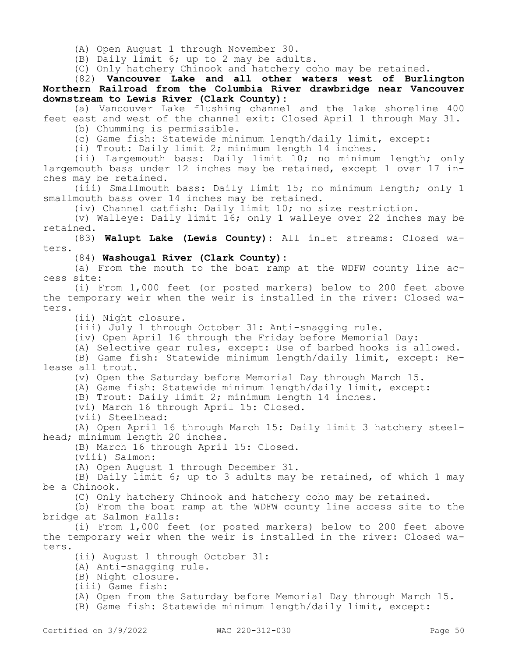(A) Open August 1 through November 30.

(B) Daily limit 6; up to 2 may be adults.

(C) Only hatchery Chinook and hatchery coho may be retained.

(82) **Vancouver Lake and all other waters west of Burlington Northern Railroad from the Columbia River drawbridge near Vancouver downstream to Lewis River (Clark County):**

(a) Vancouver Lake flushing channel and the lake shoreline 400 feet east and west of the channel exit: Closed April 1 through May 31.

(b) Chumming is permissible.

(c) Game fish: Statewide minimum length/daily limit, except:

(i) Trout: Daily limit 2; minimum length 14 inches.

(ii) Largemouth bass: Daily limit 10; no minimum length; only largemouth bass under 12 inches may be retained, except 1 over 17 inches may be retained.

(iii) Smallmouth bass: Daily limit 15; no minimum length; only 1 smallmouth bass over 14 inches may be retained.

(iv) Channel catfish: Daily limit 10; no size restriction.

(v) Walleye: Daily limit 16; only 1 walleye over 22 inches may be retained.

(83) **Walupt Lake (Lewis County):** All inlet streams: Closed waters.

(84) **Washougal River (Clark County):**

(a) From the mouth to the boat ramp at the WDFW county line access site:

(i) From 1,000 feet (or posted markers) below to 200 feet above the temporary weir when the weir is installed in the river: Closed waters.

(ii) Night closure.

(iii) July 1 through October 31: Anti-snagging rule.

(iv) Open April 16 through the Friday before Memorial Day:

(A) Selective gear rules, except: Use of barbed hooks is allowed.

(B) Game fish: Statewide minimum length/daily limit, except: Release all trout.

(v) Open the Saturday before Memorial Day through March 15.

(A) Game fish: Statewide minimum length/daily limit, except:

(B) Trout: Daily limit 2; minimum length 14 inches.

(vi) March 16 through April 15: Closed.

(vii) Steelhead:

(A) Open April 16 through March 15: Daily limit 3 hatchery steelhead; minimum length 20 inches.

(B) March 16 through April 15: Closed.

(viii) Salmon:

(A) Open August 1 through December 31.

(B) Daily limit 6; up to 3 adults may be retained, of which 1 may be a Chinook.

(C) Only hatchery Chinook and hatchery coho may be retained.

(b) From the boat ramp at the WDFW county line access site to the bridge at Salmon Falls:

(i) From 1,000 feet (or posted markers) below to 200 feet above the temporary weir when the weir is installed in the river: Closed waters.

(ii) August 1 through October 31:

(A) Anti-snagging rule.

(B) Night closure.

(iii) Game fish:

(A) Open from the Saturday before Memorial Day through March 15.

(B) Game fish: Statewide minimum length/daily limit, except: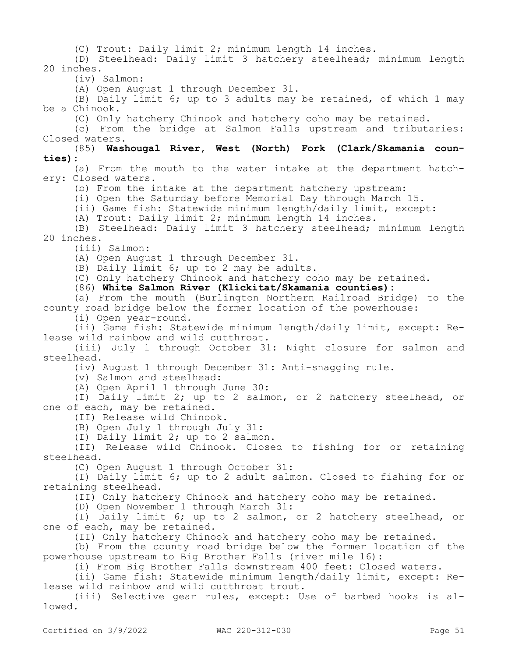(C) Trout: Daily limit 2; minimum length 14 inches.

(D) Steelhead: Daily limit 3 hatchery steelhead; minimum length 20 inches.

(iv) Salmon:

(A) Open August 1 through December 31.

(B) Daily limit 6; up to 3 adults may be retained, of which 1 may be a Chinook.

(C) Only hatchery Chinook and hatchery coho may be retained.

(c) From the bridge at Salmon Falls upstream and tributaries: Closed waters.

(85) **Washougal River, West (North) Fork (Clark/Skamania counties):**

(a) From the mouth to the water intake at the department hatchery: Closed waters.

(b) From the intake at the department hatchery upstream:

(i) Open the Saturday before Memorial Day through March 15.

(ii) Game fish: Statewide minimum length/daily limit, except:

(A) Trout: Daily limit 2; minimum length 14 inches.

(B) Steelhead: Daily limit 3 hatchery steelhead; minimum length 20 inches.

(iii) Salmon:

(A) Open August 1 through December 31.

(B) Daily limit 6; up to 2 may be adults.

(C) Only hatchery Chinook and hatchery coho may be retained.

(86) **White Salmon River (Klickitat/Skamania counties):**

(a) From the mouth (Burlington Northern Railroad Bridge) to the county road bridge below the former location of the powerhouse:

(i) Open year-round.

(ii) Game fish: Statewide minimum length/daily limit, except: Release wild rainbow and wild cutthroat.

(iii) July 1 through October 31: Night closure for salmon and steelhead.

(iv) August 1 through December 31: Anti-snagging rule.

(v) Salmon and steelhead:

(A) Open April 1 through June 30:

(I) Daily limit 2; up to 2 salmon, or 2 hatchery steelhead, or one of each, may be retained.

(II) Release wild Chinook.

(B) Open July 1 through July 31:

(I) Daily limit 2; up to 2 salmon.

(II) Release wild Chinook. Closed to fishing for or retaining steelhead.

(C) Open August 1 through October 31:

(I) Daily limit 6; up to 2 adult salmon. Closed to fishing for or retaining steelhead.

(II) Only hatchery Chinook and hatchery coho may be retained.

(D) Open November 1 through March 31:

(I) Daily limit 6; up to 2 salmon, or 2 hatchery steelhead, or one of each, may be retained.

(II) Only hatchery Chinook and hatchery coho may be retained.

(b) From the county road bridge below the former location of the powerhouse upstream to Big Brother Falls (river mile 16):

(i) From Big Brother Falls downstream 400 feet: Closed waters.

(ii) Game fish: Statewide minimum length/daily limit, except: Release wild rainbow and wild cutthroat trout.

(iii) Selective gear rules, except: Use of barbed hooks is allowed.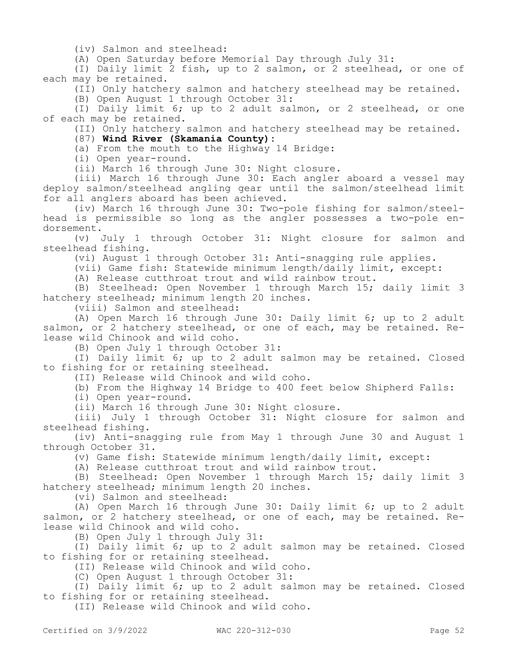(iv) Salmon and steelhead:

(A) Open Saturday before Memorial Day through July 31:

(I) Daily limit 2 fish, up to 2 salmon, or 2 steelhead, or one of each may be retained.

(II) Only hatchery salmon and hatchery steelhead may be retained.

(B) Open August 1 through October 31:

(I) Daily limit 6; up to 2 adult salmon, or 2 steelhead, or one of each may be retained.

(II) Only hatchery salmon and hatchery steelhead may be retained.

(87) **Wind River (Skamania County):**

(a) From the mouth to the Highway 14 Bridge:

(i) Open year-round.

(ii) March 16 through June 30: Night closure.

(iii) March 16 through June 30: Each angler aboard a vessel may deploy salmon/steelhead angling gear until the salmon/steelhead limit for all anglers aboard has been achieved.

(iv) March 16 through June 30: Two-pole fishing for salmon/steelhead is permissible so long as the angler possesses a two-pole endorsement.

(v) July 1 through October 31: Night closure for salmon and steelhead fishing.

(vi) August 1 through October 31: Anti-snagging rule applies.

(vii) Game fish: Statewide minimum length/daily limit, except:

(A) Release cutthroat trout and wild rainbow trout.

(B) Steelhead: Open November 1 through March 15; daily limit 3 hatchery steelhead; minimum length 20 inches.

(viii) Salmon and steelhead:

(A) Open March 16 through June 30: Daily limit 6; up to 2 adult salmon, or 2 hatchery steelhead, or one of each, may be retained. Release wild Chinook and wild coho.

(B) Open July 1 through October 31:

(I) Daily limit 6; up to 2 adult salmon may be retained. Closed to fishing for or retaining steelhead.

(II) Release wild Chinook and wild coho.

(b) From the Highway 14 Bridge to 400 feet below Shipherd Falls:

(i) Open year-round.

(ii) March 16 through June 30: Night closure.

(iii) July 1 through October 31: Night closure for salmon and steelhead fishing.

(iv) Anti-snagging rule from May 1 through June 30 and August 1 through October 31.

(v) Game fish: Statewide minimum length/daily limit, except:

(A) Release cutthroat trout and wild rainbow trout.

(B) Steelhead: Open November 1 through March 15; daily limit 3 hatchery steelhead; minimum length 20 inches.

(vi) Salmon and steelhead:

(A) Open March 16 through June 30: Daily limit 6; up to 2 adult salmon, or 2 hatchery steelhead, or one of each, may be retained. Release wild Chinook and wild coho.

(B) Open July 1 through July 31:

(I) Daily limit 6; up to 2 adult salmon may be retained. Closed to fishing for or retaining steelhead.

(II) Release wild Chinook and wild coho.

(C) Open August 1 through October 31:

(I) Daily limit 6; up to 2 adult salmon may be retained. Closed to fishing for or retaining steelhead.

(II) Release wild Chinook and wild coho.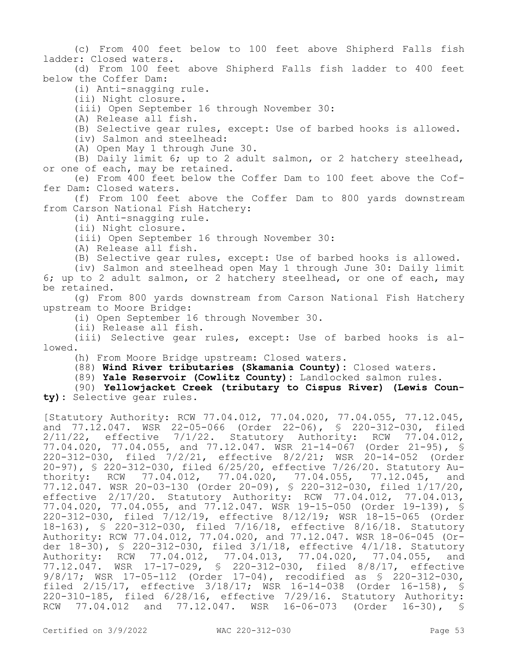(c) From 400 feet below to 100 feet above Shipherd Falls fish ladder: Closed waters.

(d) From 100 feet above Shipherd Falls fish ladder to 400 feet below the Coffer Dam:

(i) Anti-snagging rule.

(ii) Night closure.

(iii) Open September 16 through November 30:

(A) Release all fish.

(B) Selective gear rules, except: Use of barbed hooks is allowed.

(iv) Salmon and steelhead:

(A) Open May 1 through June 30.

(B) Daily limit 6; up to 2 adult salmon, or 2 hatchery steelhead, or one of each, may be retained.

(e) From 400 feet below the Coffer Dam to 100 feet above the Coffer Dam: Closed waters.

(f) From 100 feet above the Coffer Dam to 800 yards downstream from Carson National Fish Hatchery:

(i) Anti-snagging rule.

(ii) Night closure.

(iii) Open September 16 through November 30:

(A) Release all fish.

(B) Selective gear rules, except: Use of barbed hooks is allowed.

(iv) Salmon and steelhead open May 1 through June 30: Daily limit 6; up to 2 adult salmon, or 2 hatchery steelhead, or one of each, may be retained.

(g) From 800 yards downstream from Carson National Fish Hatchery upstream to Moore Bridge:

(i) Open September 16 through November 30.

(ii) Release all fish.

(iii) Selective gear rules, except: Use of barbed hooks is allowed.

(h) From Moore Bridge upstream: Closed waters.

(88) **Wind River tributaries (Skamania County):** Closed waters.

(89) **Yale Reservoir (Cowlitz County):** Landlocked salmon rules.

(90) **Yellowjacket Creek (tributary to Cispus River) (Lewis County):** Selective gear rules.

[Statutory Authority: RCW 77.04.012, 77.04.020, 77.04.055, 77.12.045, and 77.12.047. WSR 22-05-066 (Order 22-06), § 220-312-030, filed 2/11/22, effective 7/1/22. Statutory Authority: RCW 77.04.012, 77.04.020, 77.04.055, and 77.12.047. WSR 21-14-067 (Order 21-95), § 220-312-030, filed 7/2/21, effective 8/2/21; WSR 20-14-052 (Order 20-97), § 220-312-030, filed 6/25/20, effective 7/26/20. Statutory Authority: RCW 77.04.012, 77.04.020, 77.04.055, 77.12.045, and 77.12.047. WSR 20-03-130 (Order 20-09), § 220-312-030, filed 1/17/20, effective 2/17/20. Statutory Authority: RCW 77.04.012, 77.04.013, 77.04.020, 77.04.055, and 77.12.047. WSR 19-15-050 (Order 19-139), § 220-312-030, filed 7/12/19, effective 8/12/19; WSR 18-15-065 (Order 18-163), § 220-312-030, filed 7/16/18, effective 8/16/18. Statutory Authority: RCW 77.04.012, 77.04.020, and 77.12.047. WSR 18-06-045 (Order 18-30), § 220-312-030, filed 3/1/18, effective 4/1/18. Statutory Authority: RCW 77.04.012, 77.04.013, 77.04.020, 77.04.055, and 77.12.047. WSR 17-17-029, § 220-312-030, filed 8/8/17, effective 9/8/17; WSR 17-05-112 (Order 17-04), recodified as § 220-312-030, filed 2/15/17, effective 3/18/17; WSR 16-14-038 (Order 16-158), § 220-310-185, filed 6/28/16, effective 7/29/16. Statutory Authority: RCW 77.04.012 and 77.12.047. WSR 16-06-073 (Order 16-30), §